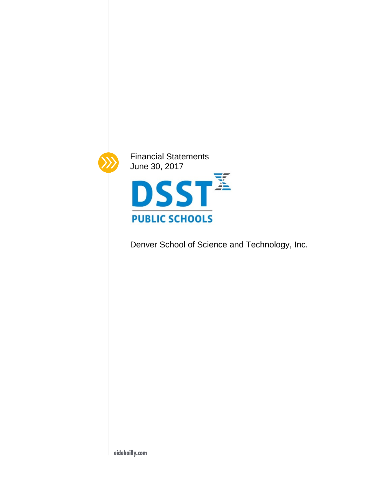

Denver School of Science and Technology, Inc.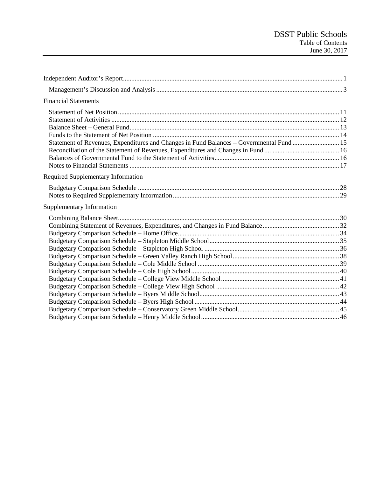| <b>Financial Statements</b>                                                              |  |
|------------------------------------------------------------------------------------------|--|
| Statement of Revenues, Expenditures and Changes in Fund Balances - Governmental Fund  15 |  |
| Required Supplementary Information                                                       |  |
| Supplementary Information                                                                |  |
|                                                                                          |  |
|                                                                                          |  |
|                                                                                          |  |
|                                                                                          |  |
|                                                                                          |  |
|                                                                                          |  |
|                                                                                          |  |
|                                                                                          |  |
|                                                                                          |  |
|                                                                                          |  |
|                                                                                          |  |
|                                                                                          |  |
|                                                                                          |  |
|                                                                                          |  |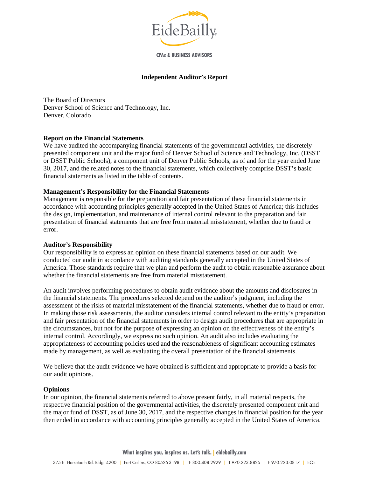

**CPAs & BUSINESS ADVISORS** 

#### **Independent Auditor's Report**

The Board of Directors Denver School of Science and Technology, Inc. Denver, Colorado

### **Report on the Financial Statements**

We have audited the accompanying financial statements of the governmental activities, the discretely presented component unit and the major fund of Denver School of Science and Technology, Inc. (DSST or DSST Public Schools), a component unit of Denver Public Schools, as of and for the year ended June 30, 2017, and the related notes to the financial statements, which collectively comprise DSST's basic financial statements as listed in the table of contents.

#### **Management's Responsibility for the Financial Statements**

Management is responsible for the preparation and fair presentation of these financial statements in accordance with accounting principles generally accepted in the United States of America; this includes the design, implementation, and maintenance of internal control relevant to the preparation and fair presentation of financial statements that are free from material misstatement, whether due to fraud or error.

#### **Auditor's Responsibility**

Our responsibility is to express an opinion on these financial statements based on our audit. We conducted our audit in accordance with auditing standards generally accepted in the United States of America. Those standards require that we plan and perform the audit to obtain reasonable assurance about whether the financial statements are free from material misstatement.

An audit involves performing procedures to obtain audit evidence about the amounts and disclosures in the financial statements. The procedures selected depend on the auditor's judgment, including the assessment of the risks of material misstatement of the financial statements, whether due to fraud or error. In making those risk assessments, the auditor considers internal control relevant to the entity's preparation and fair presentation of the financial statements in order to design audit procedures that are appropriate in the circumstances, but not for the purpose of expressing an opinion on the effectiveness of the entity's internal control. Accordingly, we express no such opinion. An audit also includes evaluating the appropriateness of accounting policies used and the reasonableness of significant accounting estimates made by management, as well as evaluating the overall presentation of the financial statements.

We believe that the audit evidence we have obtained is sufficient and appropriate to provide a basis for our audit opinions.

#### **Opinions**

In our opinion, the financial statements referred to above present fairly, in all material respects, the respective financial position of the governmental activities, the discretely presented component unit and the major fund of DSST, as of June 30, 2017, and the respective changes in financial position for the year then ended in accordance with accounting principles generally accepted in the United States of America.

**What inspires you, inspires us. Let's talk. | eidebailly.com**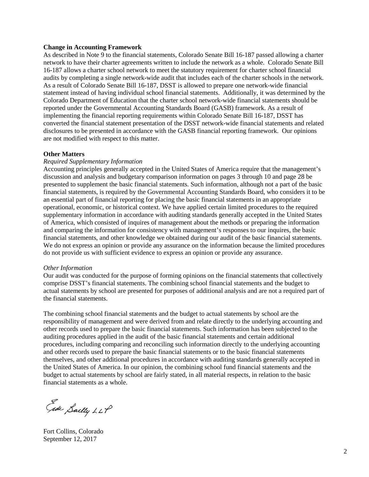#### **Change in Accounting Framework**

As described in Note 9 to the financial statements, Colorado Senate Bill 16-187 passed allowing a charter network to have their charter agreements written to include the network as a whole. Colorado Senate Bill 16-187 allows a charter school network to meet the statutory requirement for charter school financial audits by completing a single network-wide audit that includes each of the charter schools in the network. As a result of Colorado Senate Bill 16-187, DSST is allowed to prepare one network-wide financial statement instead of having individual school financial statements. Additionally, it was determined by the Colorado Department of Education that the charter school network-wide financial statements should be reported under the Governmental Accounting Standards Board (GASB) framework. As a result of implementing the financial reporting requirements within Colorado Senate Bill 16-187, DSST has converted the financial statement presentation of the DSST network-wide financial statements and related disclosures to be presented in accordance with the GASB financial reporting framework. Our opinions are not modified with respect to this matter.

#### **Other Matters**

#### *Required Supplementary Information*

Accounting principles generally accepted in the United States of America require that the management's discussion and analysis and budgetary comparison information on pages 3 through 10 and page 28 be presented to supplement the basic financial statements. Such information, although not a part of the basic financial statements, is required by the Governmental Accounting Standards Board, who considers it to be an essential part of financial reporting for placing the basic financial statements in an appropriate operational, economic, or historical context. We have applied certain limited procedures to the required supplementary information in accordance with auditing standards generally accepted in the United States of America, which consisted of inquires of management about the methods or preparing the information and comparing the information for consistency with management's responses to our inquires, the basic financial statements, and other knowledge we obtained during our audit of the basic financial statements. We do not express an opinion or provide any assurance on the information because the limited procedures do not provide us with sufficient evidence to express an opinion or provide any assurance.

#### *Other Information*

Our audit was conducted for the purpose of forming opinions on the financial statements that collectively comprise DSST's financial statements. The combining school financial statements and the budget to actual statements by school are presented for purposes of additional analysis and are not a required part of the financial statements.

The combining school financial statements and the budget to actual statements by school are the responsibility of management and were derived from and relate directly to the underlying accounting and other records used to prepare the basic financial statements. Such information has been subjected to the auditing procedures applied in the audit of the basic financial statements and certain additional procedures, including comparing and reconciling such information directly to the underlying accounting and other records used to prepare the basic financial statements or to the basic financial statements themselves, and other additional procedures in accordance with auditing standards generally accepted in the United States of America. In our opinion, the combining school fund financial statements and the budget to actual statements by school are fairly stated, in all material respects, in relation to the basic financial statements as a whole.

Ede Sailly LLP

Fort Collins, Colorado September 12, 2017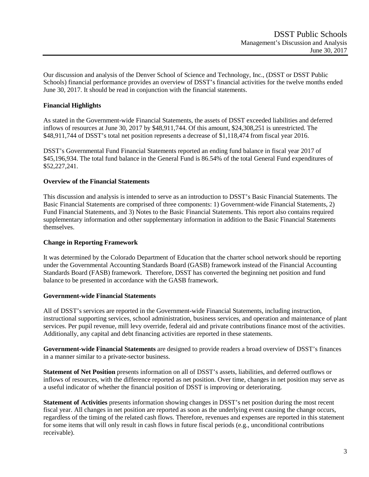Our discussion and analysis of the Denver School of Science and Technology, Inc., (DSST or DSST Public Schools) financial performance provides an overview of DSST's financial activities for the twelve months ended June 30, 2017. It should be read in conjunction with the financial statements.

## **Financial Highlights**

As stated in the Government-wide Financial Statements, the assets of DSST exceeded liabilities and deferred inflows of resources at June 30, 2017 by \$48,911,744. Of this amount, \$24,308,251 is unrestricted. The \$48,911,744 of DSST's total net position represents a decrease of \$1,118,474 from fiscal year 2016.

DSST's Governmental Fund Financial Statements reported an ending fund balance in fiscal year 2017 of \$45,196,934. The total fund balance in the General Fund is 86.54% of the total General Fund expenditures of \$52,227,241.

### **Overview of the Financial Statements**

This discussion and analysis is intended to serve as an introduction to DSST's Basic Financial Statements. The Basic Financial Statements are comprised of three components: 1) Government-wide Financial Statements, 2) Fund Financial Statements, and 3) Notes to the Basic Financial Statements. This report also contains required supplementary information and other supplementary information in addition to the Basic Financial Statements themselves.

### **Change in Reporting Framework**

It was determined by the Colorado Department of Education that the charter school network should be reporting under the Governmental Accounting Standards Board (GASB) framework instead of the Financial Accounting Standards Board (FASB) framework. Therefore, DSST has converted the beginning net position and fund balance to be presented in accordance with the GASB framework.

### **Government-wide Financial Statements**

All of DSST's services are reported in the Government-wide Financial Statements, including instruction, instructional supporting services, school administration, business services, and operation and maintenance of plant services. Per pupil revenue, mill levy override, federal aid and private contributions finance most of the activities. Additionally, any capital and debt financing activities are reported in these statements.

**Government-wide Financial Statements** are designed to provide readers a broad overview of DSST's finances in a manner similar to a private-sector business.

**Statement of Net Position** presents information on all of DSST's assets, liabilities, and deferred outflows or inflows of resources, with the difference reported as net position. Over time, changes in net position may serve as a useful indicator of whether the financial position of DSST is improving or deteriorating.

**Statement of Activities** presents information showing changes in DSST's net position during the most recent fiscal year. All changes in net position are reported as soon as the underlying event causing the change occurs, regardless of the timing of the related cash flows. Therefore, revenues and expenses are reported in this statement for some items that will only result in cash flows in future fiscal periods (e.g., unconditional contributions receivable).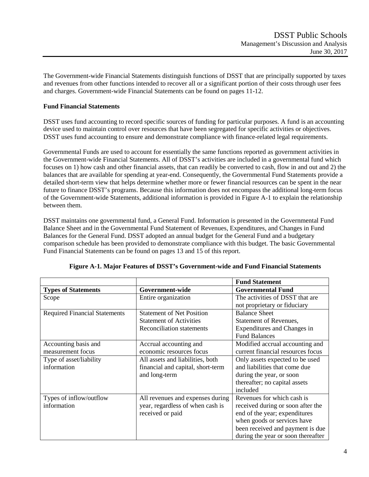The Government-wide Financial Statements distinguish functions of DSST that are principally supported by taxes and revenues from other functions intended to recover all or a significant portion of their costs through user fees and charges. Government-wide Financial Statements can be found on pages 11-12.

## **Fund Financial Statements**

DSST uses fund accounting to record specific sources of funding for particular purposes. A fund is an accounting device used to maintain control over resources that have been segregated for specific activities or objectives. DSST uses fund accounting to ensure and demonstrate compliance with finance-related legal requirements.

Governmental Funds are used to account for essentially the same functions reported as government activities in the Government-wide Financial Statements. All of DSST's activities are included in a governmental fund which focuses on 1) how cash and other financial assets, that can readily be converted to cash, flow in and out and 2) the balances that are available for spending at year-end. Consequently, the Governmental Fund Statements provide a detailed short-term view that helps determine whether more or fewer financial resources can be spent in the near future to finance DSST's programs. Because this information does not encompass the additional long-term focus of the Government-wide Statements, additional information is provided in Figure A-1 to explain the relationship between them.

DSST maintains one governmental fund, a General Fund. Information is presented in the Governmental Fund Balance Sheet and in the Governmental Fund Statement of Revenues, Expenditures, and Changes in Fund Balances for the General Fund. DSST adopted an annual budget for the General Fund and a budgetary comparison schedule has been provided to demonstrate compliance with this budget. The basic Governmental Fund Financial Statements can be found on pages 13 and 15 of this report.

|                                      |                                   | <b>Fund Statement</b>              |
|--------------------------------------|-----------------------------------|------------------------------------|
| <b>Types of Statements</b>           | Government-wide                   | <b>Governmental Fund</b>           |
| Scope                                | Entire organization               | The activities of DSST that are    |
|                                      |                                   | not proprietary or fiduciary       |
| <b>Required Financial Statements</b> | <b>Statement of Net Position</b>  | <b>Balance Sheet</b>               |
|                                      | <b>Statement of Activities</b>    | <b>Statement of Revenues,</b>      |
|                                      | Reconciliation statements         | Expenditures and Changes in        |
|                                      |                                   | <b>Fund Balances</b>               |
| Accounting basis and                 | Accrual accounting and            | Modified accrual accounting and    |
| measurement focus                    | economic resources focus          | current financial resources focus  |
| Type of asset/liability              | All assets and liabilities, both  | Only assets expected to be used    |
| information                          | financial and capital, short-term | and liabilities that come due      |
|                                      | and long-term                     | during the year, or soon           |
|                                      |                                   | thereafter; no capital assets      |
|                                      |                                   | included                           |
| Types of inflow/outflow              | All revenues and expenses during  | Revenues for which cash is         |
| information                          | year, regardless of when cash is  | received during or soon after the  |
|                                      | received or paid                  | end of the year; expenditures      |
|                                      |                                   | when goods or services have        |
|                                      |                                   | been received and payment is due   |
|                                      |                                   | during the year or soon thereafter |

### **Figure A-1. Major Features of DSST's Government-wide and Fund Financial Statements**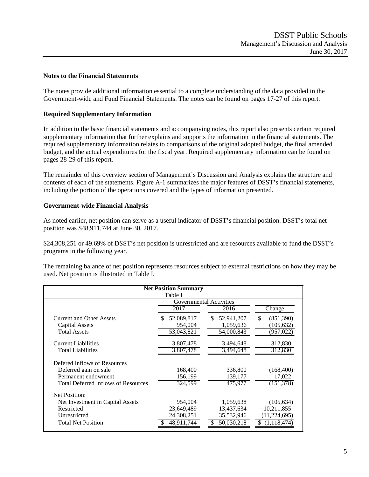### **Notes to the Financial Statements**

The notes provide additional information essential to a complete understanding of the data provided in the Government-wide and Fund Financial Statements. The notes can be found on pages 17-27 of this report.

### **Required Supplementary Information**

In addition to the basic financial statements and accompanying notes, this report also presents certain required supplementary information that further explains and supports the information in the financial statements. The required supplementary information relates to comparisons of the original adopted budget, the final amended budget, and the actual expenditures for the fiscal year. Required supplementary information can be found on pages 28-29 of this report.

The remainder of this overview section of Management's Discussion and Analysis explains the structure and contents of each of the statements. Figure A-1 summarizes the major features of DSST's financial statements, including the portion of the operations covered and the types of information presented.

### **Government-wide Financial Analysis**

As noted earlier, net position can serve as a useful indicator of DSST's financial position. DSST's total net position was \$48,911,744 at June 30, 2017.

\$24,308,251 or 49.69% of DSST's net position is unrestricted and are resources available to fund the DSST's programs in the following year.

The remaining balance of net position represents resources subject to external restrictions on how they may be used. Net position is illustrated in Table I.

| <b>Net Position Summary</b>                |                         |                   |                 |  |  |  |  |
|--------------------------------------------|-------------------------|-------------------|-----------------|--|--|--|--|
| Table I                                    |                         |                   |                 |  |  |  |  |
|                                            | Governmental Activities |                   |                 |  |  |  |  |
|                                            | 2017                    | 2016              |                 |  |  |  |  |
| <b>Current and Other Assets</b>            | 52,089,817<br>S         | 52,941,207<br>\$. | \$<br>(851,390) |  |  |  |  |
| Capital Assets                             | 954,004                 | 1,059,636         | (105, 632)      |  |  |  |  |
| <b>Total Assets</b>                        | 53,043,821              | 54,000,843        | (957, 022)      |  |  |  |  |
| <b>Current Liabilities</b>                 | 3,807,478               | 3,494,648         | 312,830         |  |  |  |  |
| <b>Total Liabilities</b>                   | 3,807,478               | 3,494,648         | 312,830         |  |  |  |  |
| Defered Inflows of Resources               |                         |                   |                 |  |  |  |  |
| Deferred gain on sale                      | 168,400                 | 336,800           | (168, 400)      |  |  |  |  |
| Permanent endowment                        | 156,199                 | 139,177           | 17,022          |  |  |  |  |
| <b>Total Deferred Inflows of Resources</b> | 324,599                 | 475,977           | (151, 378)      |  |  |  |  |
| Net Position:                              |                         |                   |                 |  |  |  |  |
| Net Investment in Capital Assets           | 954,004                 | 1,059,638         | (105, 634)      |  |  |  |  |
| Restricted                                 | 23,649,489              | 13,437,634        | 10,211,855      |  |  |  |  |
| Unrestricted                               | 24,308,251              | 35,532,946        | (11, 224, 695)  |  |  |  |  |
| <b>Total Net Position</b>                  | 48,911,744              | 50,030,218<br>S   | (1,118,474)     |  |  |  |  |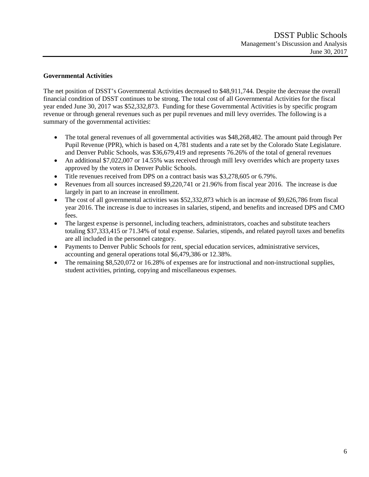## **Governmental Activities**

The net position of DSST's Governmental Activities decreased to \$48,911,744. Despite the decrease the overall financial condition of DSST continues to be strong. The total cost of all Governmental Activities for the fiscal year ended June 30, 2017 was \$52,332,873. Funding for these Governmental Activities is by specific program revenue or through general revenues such as per pupil revenues and mill levy overrides. The following is a summary of the governmental activities:

- The total general revenues of all governmental activities was \$48,268,482. The amount paid through Per Pupil Revenue (PPR), which is based on 4,781 students and a rate set by the Colorado State Legislature. and Denver Public Schools, was \$36,679,419 and represents 76.26% of the total of general revenues
- An additional \$7,022,007 or 14.55% was received through mill levy overrides which are property taxes approved by the voters in Denver Public Schools.
- Title revenues received from DPS on a contract basis was \$3,278,605 or 6.79%.
- Revenues from all sources increased \$9,220,741 or 21.96% from fiscal year 2016. The increase is due largely in part to an increase in enrollment.
- The cost of all governmental activities was \$52,332,873 which is an increase of \$9,626,786 from fiscal year 2016. The increase is due to increases in salaries, stipend, and benefits and increased DPS and CMO fees.
- The largest expense is personnel, including teachers, administrators, coaches and substitute teachers totaling \$37,333,415 or 71.34% of total expense. Salaries, stipends, and related payroll taxes and benefits are all included in the personnel category.
- Payments to Denver Public Schools for rent, special education services, administrative services, accounting and general operations total \$6,479,386 or 12.38%.
- The remaining \$8,520,072 or 16.28% of expenses are for instructional and non-instructional supplies, student activities, printing, copying and miscellaneous expenses.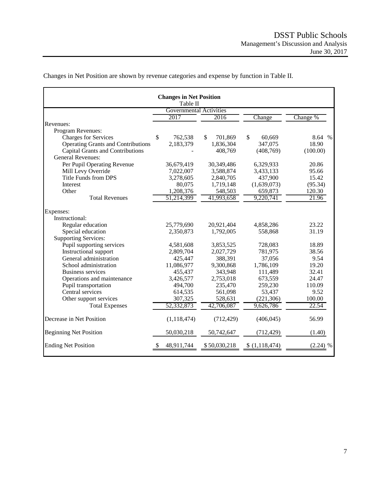|                                           |              | <b>Changes in Net Position</b><br>Table II |               |               |            |
|-------------------------------------------|--------------|--------------------------------------------|---------------|---------------|------------|
|                                           |              | Governmental Activities                    |               |               |            |
|                                           |              | 2017                                       | 2016          | Change        | Change %   |
| Revenues:                                 |              |                                            |               |               |            |
| <b>Program Revenues:</b>                  |              |                                            |               |               |            |
| <b>Charges for Services</b>               | $\mathbb{S}$ | 762,538                                    | \$<br>701,869 | \$<br>60,669  | 8.64 %     |
| <b>Operating Grants and Contributions</b> |              | 2,183,379                                  | 1,836,304     | 347,075       | 18.90      |
| <b>Capital Grants and Contributions</b>   |              |                                            | 408,769       | (408,769)     | (100.00)   |
| <b>General Revenues:</b>                  |              |                                            |               |               |            |
| Per Pupil Operating Revenue               |              | 36,679,419                                 | 30,349,486    | 6,329,933     | 20.86      |
| Mill Levy Override                        |              | 7,022,007                                  | 3,588,874     | 3,433,133     | 95.66      |
| Title Funds from DPS                      |              | 3,278,605                                  | 2,840,705     | 437,900       | 15.42      |
| Interest                                  |              | 80,075                                     | 1,719,148     | (1,639,073)   | (95.34)    |
| Other                                     |              | 1,208,376                                  | 548,503       | 659,873       | 120.30     |
| <b>Total Revenues</b>                     |              | 51,214,399                                 | 41,993,658    | 9,220,741     | 21.96      |
| Expenses:                                 |              |                                            |               |               |            |
| Instructional:                            |              |                                            |               |               |            |
| Regular education                         |              | 25,779,690                                 | 20,921,404    | 4,858,286     | 23.22      |
| Special education                         |              | 2,350,873                                  | 1,792,005     | 558,868       | 31.19      |
| <b>Supporting Services:</b>               |              |                                            |               |               |            |
| Pupil supporting services                 |              | 4,581,608                                  | 3,853,525     | 728,083       | 18.89      |
| <b>Instructional support</b>              |              | 2,809,704                                  | 2,027,729     | 781,975       | 38.56      |
| General administration                    |              | 425,447                                    | 388,391       | 37,056        | 9.54       |
| School administration                     |              | 11,086,977                                 | 9,300,868     | 1,786,109     | 19.20      |
| <b>Business services</b>                  |              | 455,437                                    | 343,948       | 111,489       | 32.41      |
| Operations and maintenance                |              | 3,426,577                                  | 2,753,018     | 673,559       | 24.47      |
| Pupil transportation                      |              | 494,700                                    | 235,470       | 259,230       | 110.09     |
| Central services                          |              | 614,535                                    | 561,098       | 53,437        | 9.52       |
| Other support services                    |              | 307,325                                    | 528,631       | (221, 306)    | 100.00     |
| <b>Total Expenses</b>                     |              | 52,332,873                                 | 42,706,087    | 9,626,786     | 22.54      |
| Decrease in Net Position                  |              | (1, 118, 474)                              | (712, 429)    | (406, 045)    | 56.99      |
| <b>Beginning Net Position</b>             |              | 50,030,218                                 | 50,742,647    | (712, 429)    | (1.40)     |
| <b>Ending Net Position</b>                |              | 48,911,744                                 | \$50,030,218  | \$(1,118,474) | $(2.24)$ % |

Changes in Net Position are shown by revenue categories and expense by function in Table II.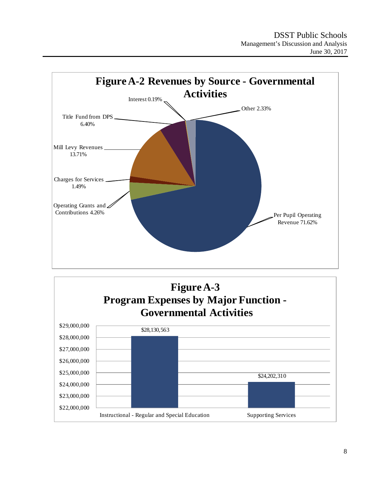

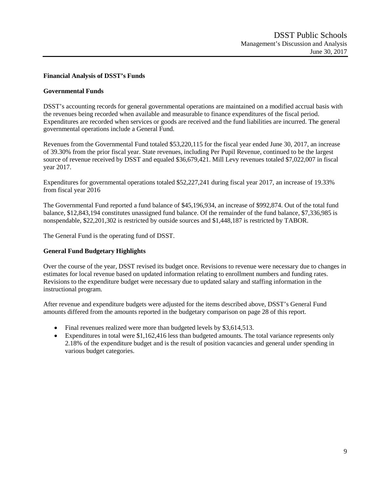### **Financial Analysis of DSST's Funds**

### **Governmental Funds**

DSST's accounting records for general governmental operations are maintained on a modified accrual basis with the revenues being recorded when available and measurable to finance expenditures of the fiscal period. Expenditures are recorded when services or goods are received and the fund liabilities are incurred. The general governmental operations include a General Fund.

Revenues from the Governmental Fund totaled \$53,220,115 for the fiscal year ended June 30, 2017, an increase of 39.30% from the prior fiscal year. State revenues, including Per Pupil Revenue, continued to be the largest source of revenue received by DSST and equaled \$36,679,421. Mill Levy revenues totaled \$7,022,007 in fiscal year 2017.

Expenditures for governmental operations totaled \$52,227,241 during fiscal year 2017, an increase of 19.33% from fiscal year 2016

The Governmental Fund reported a fund balance of \$45,196,934, an increase of \$992,874. Out of the total fund balance, \$12,843,194 constitutes unassigned fund balance. Of the remainder of the fund balance, \$7,336,985 is nonspendable, \$22,201,302 is restricted by outside sources and \$1,448,187 is restricted by TABOR.

The General Fund is the operating fund of DSST.

### **General Fund Budgetary Highlights**

Over the course of the year, DSST revised its budget once. Revisions to revenue were necessary due to changes in estimates for local revenue based on updated information relating to enrollment numbers and funding rates. Revisions to the expenditure budget were necessary due to updated salary and staffing information in the instructional program.

After revenue and expenditure budgets were adjusted for the items described above, DSST's General Fund amounts differed from the amounts reported in the budgetary comparison on page 28 of this report.

- Final revenues realized were more than budgeted levels by \$3,614,513.
- Expenditures in total were \$1,162,416 less than budgeted amounts. The total variance represents only 2.18% of the expenditure budget and is the result of position vacancies and general under spending in various budget categories.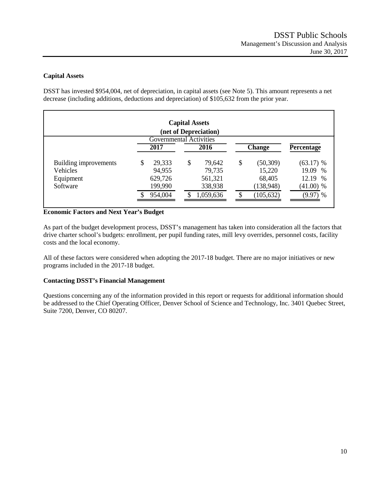## **Capital Assets**

DSST has invested \$954,004, net of depreciation, in capital assets (see Note 5). This amount represents a net decrease (including additions, deductions and depreciation) of \$105,632 from the prior year.

| <b>Capital Assets</b><br>(net of Depreciation)             |                                                         |                                                           |                                                                      |                                                                            |  |  |
|------------------------------------------------------------|---------------------------------------------------------|-----------------------------------------------------------|----------------------------------------------------------------------|----------------------------------------------------------------------------|--|--|
|                                                            | 2017                                                    | <b>Governmental Activities</b><br>2016                    | <b>Change</b>                                                        | Percentage                                                                 |  |  |
| Building improvements<br>Vehicles<br>Equipment<br>Software | 29,333<br>\$<br>94,955<br>629,726<br>199,990<br>954,004 | \$<br>79,642<br>79,735<br>561,321<br>338,938<br>1,059,636 | \$<br>(50, 309)<br>15,220<br>68,405<br>(138, 948)<br>(105, 632)<br>S | $(63.17)$ %<br>19.09<br>$\%$<br>12.19<br>$\%$<br>$(41.00)$ %<br>$(9.97)$ % |  |  |

### **Economic Factors and Next Year's Budget**

As part of the budget development process, DSST's management has taken into consideration all the factors that drive charter school's budgets: enrollment, per pupil funding rates, mill levy overrides, personnel costs, facility costs and the local economy.

All of these factors were considered when adopting the 2017-18 budget. There are no major initiatives or new programs included in the 2017-18 budget.

### **Contacting DSST's Financial Management**

Questions concerning any of the information provided in this report or requests for additional information should be addressed to the Chief Operating Officer, Denver School of Science and Technology, Inc. 3401 Quebec Street, Suite 7200, Denver, CO 80207.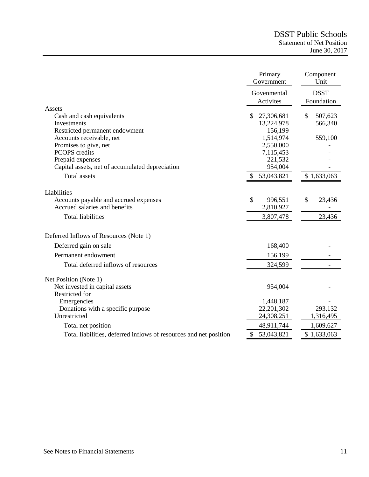|                                                                                                                                                                                                                                                                 | Primary<br>Government                                                                                                                | Component<br>Unit                                  |
|-----------------------------------------------------------------------------------------------------------------------------------------------------------------------------------------------------------------------------------------------------------------|--------------------------------------------------------------------------------------------------------------------------------------|----------------------------------------------------|
|                                                                                                                                                                                                                                                                 | Govenmental<br>Activites                                                                                                             | <b>DSST</b><br>Foundation                          |
| Assets<br>Cash and cash equivalents<br>Investments<br>Restricted permanent endowment<br>Accounts receivable, net<br>Promises to give, net<br><b>PCOPS</b> credits<br>Prepaid expenses<br>Capital assets, net of accumulated depreciation<br><b>Total assets</b> | 27,306,681<br>\$<br>13,224,978<br>156,199<br>1,514,974<br>2,550,000<br>7,115,453<br>221,532<br>954,004<br>53,043,821<br><sup>S</sup> | \$<br>507,623<br>566,340<br>559,100<br>\$1,633,063 |
| Liabilities<br>Accounts payable and accrued expenses<br>Accrued salaries and benefits<br><b>Total liabilities</b>                                                                                                                                               | \$<br>996,551<br>2,810,927<br>3,807,478                                                                                              | \$<br>23,436<br>23,436                             |
| Deferred Inflows of Resources (Note 1)                                                                                                                                                                                                                          |                                                                                                                                      |                                                    |
| Deferred gain on sale                                                                                                                                                                                                                                           | 168,400                                                                                                                              |                                                    |
| Permanent endowment                                                                                                                                                                                                                                             | 156,199                                                                                                                              |                                                    |
| Total deferred inflows of resources                                                                                                                                                                                                                             | 324,599                                                                                                                              |                                                    |
| Net Position (Note 1)<br>Net invested in capital assets<br>Restricted for                                                                                                                                                                                       | 954,004                                                                                                                              |                                                    |
| Emergencies<br>Donations with a specific purpose<br>Unrestricted                                                                                                                                                                                                | 1,448,187<br>22,201,302                                                                                                              | 293,132                                            |
|                                                                                                                                                                                                                                                                 | 24,308,251                                                                                                                           | 1,316,495                                          |
| Total net position<br>Total liabilities, deferred inflows of resources and net position                                                                                                                                                                         | 48,911,744<br>53,043,821<br>\$                                                                                                       | 1,609,627<br>\$1,633,063                           |
|                                                                                                                                                                                                                                                                 |                                                                                                                                      |                                                    |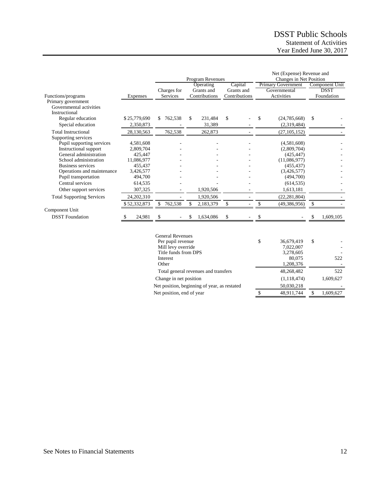|         |                                                                                                                                                                |         |                                                     |                         |                                                                                                             |                  |                                        |                |                                                                                                                                       | Component Unit                                             |
|---------|----------------------------------------------------------------------------------------------------------------------------------------------------------------|---------|-----------------------------------------------------|-------------------------|-------------------------------------------------------------------------------------------------------------|------------------|----------------------------------------|----------------|---------------------------------------------------------------------------------------------------------------------------------------|------------------------------------------------------------|
|         |                                                                                                                                                                |         |                                                     |                         |                                                                                                             |                  |                                        |                |                                                                                                                                       | <b>DSST</b>                                                |
|         |                                                                                                                                                                |         |                                                     |                         |                                                                                                             |                  |                                        | Activities     |                                                                                                                                       | Foundation                                                 |
|         |                                                                                                                                                                |         |                                                     |                         |                                                                                                             |                  |                                        |                |                                                                                                                                       |                                                            |
|         |                                                                                                                                                                |         |                                                     |                         |                                                                                                             |                  |                                        |                |                                                                                                                                       |                                                            |
|         |                                                                                                                                                                |         |                                                     |                         |                                                                                                             |                  |                                        |                |                                                                                                                                       |                                                            |
|         | \$.                                                                                                                                                            | 762,538 | \$                                                  | 231,484                 | $\mathbb{S}$                                                                                                |                  | \$                                     | (24, 785, 668) | \$                                                                                                                                    |                                                            |
|         |                                                                                                                                                                |         |                                                     | 31,389                  |                                                                                                             |                  |                                        | (2,319,484)    |                                                                                                                                       |                                                            |
|         |                                                                                                                                                                | 762,538 |                                                     | 262,873                 |                                                                                                             |                  |                                        | (27, 105, 152) |                                                                                                                                       |                                                            |
|         |                                                                                                                                                                |         |                                                     |                         |                                                                                                             |                  |                                        |                |                                                                                                                                       |                                                            |
|         |                                                                                                                                                                |         |                                                     |                         |                                                                                                             |                  |                                        |                |                                                                                                                                       |                                                            |
|         |                                                                                                                                                                |         |                                                     |                         |                                                                                                             |                  |                                        | (2,809,704)    |                                                                                                                                       |                                                            |
|         |                                                                                                                                                                |         |                                                     |                         |                                                                                                             |                  |                                        |                |                                                                                                                                       |                                                            |
|         |                                                                                                                                                                |         |                                                     |                         |                                                                                                             |                  |                                        | (11,086,977)   |                                                                                                                                       |                                                            |
|         |                                                                                                                                                                |         |                                                     |                         |                                                                                                             |                  |                                        | (455, 437)     |                                                                                                                                       |                                                            |
|         |                                                                                                                                                                |         |                                                     |                         |                                                                                                             |                  |                                        | (3,426,577)    |                                                                                                                                       |                                                            |
| 494,700 |                                                                                                                                                                |         |                                                     |                         |                                                                                                             |                  |                                        | (494,700)      |                                                                                                                                       |                                                            |
| 614,535 |                                                                                                                                                                |         |                                                     |                         |                                                                                                             |                  |                                        | (614, 535)     |                                                                                                                                       |                                                            |
| 307,325 |                                                                                                                                                                |         |                                                     | 1,920,506               |                                                                                                             |                  |                                        | 1,613,181      |                                                                                                                                       |                                                            |
|         |                                                                                                                                                                |         |                                                     | 1,920,506               |                                                                                                             |                  |                                        | (22, 281, 804) |                                                                                                                                       |                                                            |
|         | \$                                                                                                                                                             | 762,538 | \$.                                                 | 2,183,379               | \$                                                                                                          |                  |                                        | (49, 386, 956) | <sup>\$</sup>                                                                                                                         |                                                            |
|         |                                                                                                                                                                |         |                                                     |                         |                                                                                                             |                  |                                        |                |                                                                                                                                       |                                                            |
| 24,981  | S                                                                                                                                                              |         | \$                                                  | 1,634,086               | \$                                                                                                          |                  | \$                                     |                | \$                                                                                                                                    | 1,609,105                                                  |
|         |                                                                                                                                                                |         |                                                     |                         |                                                                                                             |                  |                                        |                |                                                                                                                                       |                                                            |
|         |                                                                                                                                                                |         |                                                     |                         |                                                                                                             |                  |                                        |                |                                                                                                                                       |                                                            |
|         |                                                                                                                                                                |         |                                                     |                         |                                                                                                             |                  |                                        |                |                                                                                                                                       |                                                            |
|         |                                                                                                                                                                |         |                                                     |                         |                                                                                                             |                  |                                        |                |                                                                                                                                       |                                                            |
|         |                                                                                                                                                                |         |                                                     |                         |                                                                                                             |                  |                                        |                |                                                                                                                                       |                                                            |
|         |                                                                                                                                                                |         |                                                     |                         |                                                                                                             |                  |                                        |                |                                                                                                                                       | 522                                                        |
|         |                                                                                                                                                                |         |                                                     |                         |                                                                                                             |                  |                                        |                |                                                                                                                                       |                                                            |
|         | Expenses<br>\$25,779,690<br>2,350,873<br>28,130,563<br>4,581,608<br>2,809,704<br>425,447<br>11,086,977<br>455,437<br>3,426,577<br>24, 202, 310<br>\$52,332,873 |         | Charges for<br><b>Services</b><br>Interest<br>Other | <b>General Revenues</b> | Operating<br>Grants and<br>Contributions<br>Per pupil revenue<br>Mill levy override<br>Title funds from DPS | Program Revenues | Capital<br>Grants and<br>Contributions | \$             | <b>Primary Government</b><br>Governmental<br>(4,581,608)<br>(425, 447)<br>36,679,419<br>7,022,007<br>3,278,605<br>80,075<br>1,208,376 | Net (Expense) Revenue and<br>Changes in Net Position<br>\$ |

| Total general revenues and transfers         |   | 48.268.482  | 522       |
|----------------------------------------------|---|-------------|-----------|
| Change in net position                       |   | (1.118.474) | 1.609.627 |
| Net position, beginning of year, as restated |   | 50.030.218  |           |
| Net position, end of year                    | S | 48.911.744  | 1.609.627 |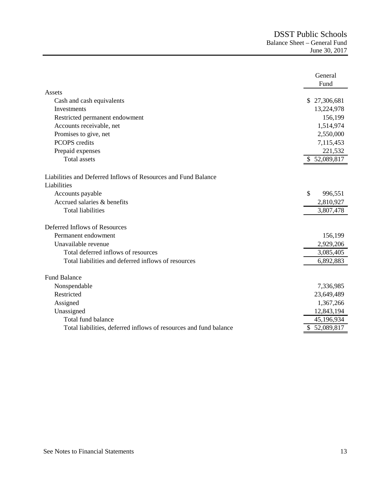# DSST Public Schools Balance Sheet – General Fund June 30, 2017

|                                                                   | General<br>Fund          |
|-------------------------------------------------------------------|--------------------------|
| Assets                                                            |                          |
| Cash and cash equivalents                                         | 27,306,681<br>\$.        |
| Investments                                                       | 13,224,978               |
| Restricted permanent endowment                                    | 156,199                  |
| Accounts receivable, net                                          | 1,514,974                |
| Promises to give, net                                             | 2,550,000                |
| <b>PCOPS</b> credits                                              | 7,115,453                |
| Prepaid expenses                                                  | 221,532                  |
| <b>Total assets</b>                                               | \$52,089,817             |
| Liabilities and Deferred Inflows of Resources and Fund Balance    |                          |
| Liabilities                                                       |                          |
| Accounts payable                                                  | $\mathcal{S}$<br>996,551 |
| Accrued salaries & benefits                                       | 2,810,927                |
| <b>Total liabilities</b>                                          | 3,807,478                |
| Deferred Inflows of Resources                                     |                          |
| Permanent endowment                                               | 156,199                  |
| Unavailable revenue                                               | 2,929,206                |
| Total deferred inflows of resources                               | 3,085,405                |
| Total liabilities and deferred inflows of resources               | 6,892,883                |
| <b>Fund Balance</b>                                               |                          |
| Nonspendable                                                      | 7,336,985                |
| Restricted                                                        | 23,649,489               |
| Assigned                                                          | 1,367,266                |
| Unassigned                                                        | 12,843,194               |
| Total fund balance                                                | 45,196,934               |
| Total liabilities, deferred inflows of resources and fund balance | \$52,089,817             |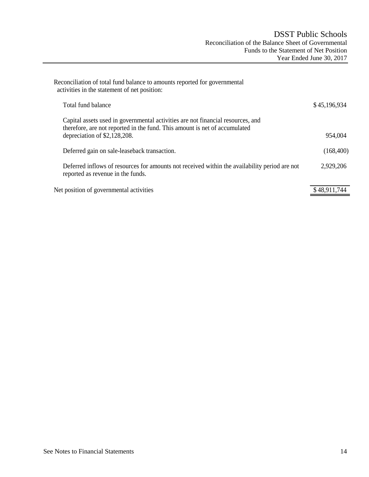## DSST Public Schools Reconciliation of the Balance Sheet of Governmental Funds to the Statement of Net Position Year Ended June 30, 2017

| Reconciliation of total fund balance to amounts reported for governmental<br>activities in the statement of net position:                                     |              |
|---------------------------------------------------------------------------------------------------------------------------------------------------------------|--------------|
| Total fund balance                                                                                                                                            | \$45,196,934 |
| Capital assets used in governmental activities are not financial resources, and<br>therefore, are not reported in the fund. This amount is net of accumulated |              |
| depreciation of \$2,128,208.                                                                                                                                  | 954,004      |
| Deferred gain on sale-leaseback transaction.                                                                                                                  | (168, 400)   |
| Deferred inflows of resources for amounts not received within the availability period are not<br>reported as revenue in the funds.                            | 2,929,206    |
| Net position of governmental activities                                                                                                                       | \$48,911,744 |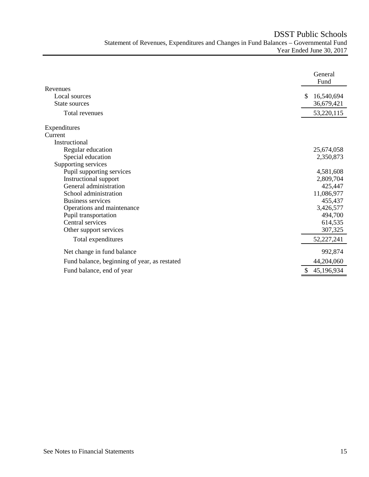|                                              | General<br>Fund  |
|----------------------------------------------|------------------|
| Revenues                                     |                  |
| Local sources                                | \$<br>16,540,694 |
| State sources                                | 36,679,421       |
| Total revenues                               | 53,220,115       |
| Expenditures                                 |                  |
| Current                                      |                  |
| Instructional                                |                  |
| Regular education                            | 25,674,058       |
| Special education                            | 2,350,873        |
| Supporting services                          |                  |
| Pupil supporting services                    | 4,581,608        |
| Instructional support                        | 2,809,704        |
| General administration                       | 425,447          |
| School administration                        | 11,086,977       |
| <b>Business services</b>                     | 455,437          |
| Operations and maintenance                   | 3,426,577        |
| Pupil transportation                         | 494,700          |
| Central services                             | 614,535          |
| Other support services                       | 307,325          |
| Total expenditures                           | 52,227,241       |
| Net change in fund balance                   | 992,874          |
| Fund balance, beginning of year, as restated | 44,204,060       |
| Fund balance, end of year                    | 45,196,934       |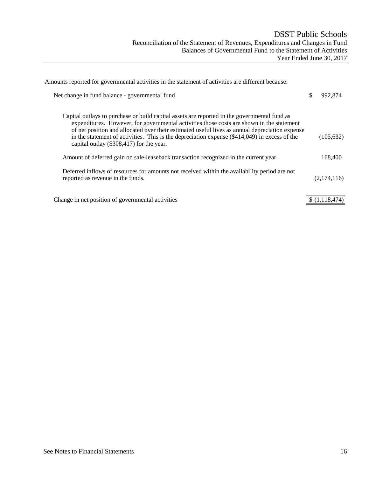| Amounts reported for governmental activities in the statement of activities are different because:                                                                                                                                                                                                                                                                                                                                       |               |
|------------------------------------------------------------------------------------------------------------------------------------------------------------------------------------------------------------------------------------------------------------------------------------------------------------------------------------------------------------------------------------------------------------------------------------------|---------------|
| Net change in fund balance - governmental fund                                                                                                                                                                                                                                                                                                                                                                                           | \$<br>992,874 |
| Capital outlays to purchase or build capital assets are reported in the governmental fund as<br>expenditures. However, for governmental activities those costs are shown in the statement<br>of net position and allocated over their estimated useful lives as annual depreciation expense<br>in the statement of activities. This is the depreciation expense (\$414,049) in excess of the<br>capital outlay (\$308,417) for the year. | (105, 632)    |
| Amount of deferred gain on sale-leaseback transaction recognized in the current year                                                                                                                                                                                                                                                                                                                                                     | 168,400       |
| Deferred inflows of resources for amounts not received within the availability period are not<br>reported as revenue in the funds.                                                                                                                                                                                                                                                                                                       | (2,174,116)   |
| Change in net position of governmental activities                                                                                                                                                                                                                                                                                                                                                                                        | \$(1,118,474) |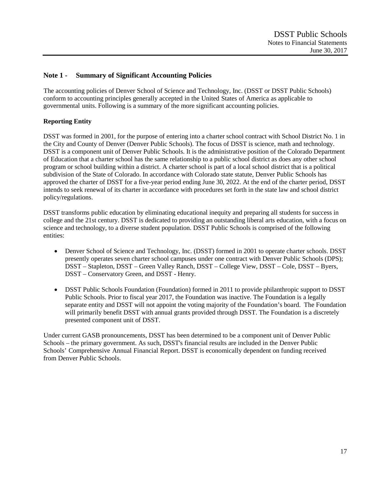## **Note 1 - Summary of Significant Accounting Policies**

The accounting policies of Denver School of Science and Technology, Inc. (DSST or DSST Public Schools) conform to accounting principles generally accepted in the United States of America as applicable to governmental units. Following is a summary of the more significant accounting policies.

## **Reporting Entity**

DSST was formed in 2001, for the purpose of entering into a charter school contract with School District No. 1 in the City and County of Denver (Denver Public Schools). The focus of DSST is science, math and technology. DSST is a component unit of Denver Public Schools. It is the administrative position of the Colorado Department of Education that a charter school has the same relationship to a public school district as does any other school program or school building within a district. A charter school is part of a local school district that is a political subdivision of the State of Colorado. In accordance with Colorado state statute, Denver Public Schools has approved the charter of DSST for a five-year period ending June 30, 2022. At the end of the charter period, DSST intends to seek renewal of its charter in accordance with procedures set forth in the state law and school district policy/regulations.

DSST transforms public education by eliminating educational inequity and preparing all students for success in college and the 21st century. DSST is dedicated to providing an outstanding liberal arts education, with a focus on science and technology, to a diverse student population. DSST Public Schools is comprised of the following entities:

- Denver School of Science and Technology, Inc. (DSST) formed in 2001 to operate charter schools. DSST presently operates seven charter school campuses under one contract with Denver Public Schools (DPS); DSST – Stapleton, DSST – Green Valley Ranch, DSST – College View, DSST – Cole, DSST – Byers, DSST – Conservatory Green, and DSST - Henry.
- DSST Public Schools Foundation (Foundation) formed in 2011 to provide philanthropic support to DSST Public Schools. Prior to fiscal year 2017, the Foundation was inactive. The Foundation is a legally separate entity and DSST will not appoint the voting majority of the Foundation's board. The Foundation will primarily benefit DSST with annual grants provided through DSST. The Foundation is a discretely presented component unit of DSST.

Under current GASB pronouncements, DSST has been determined to be a component unit of Denver Public Schools – the primary government. As such, DSST's financial results are included in the Denver Public Schools' Comprehensive Annual Financial Report. DSST is economically dependent on funding received from Denver Public Schools.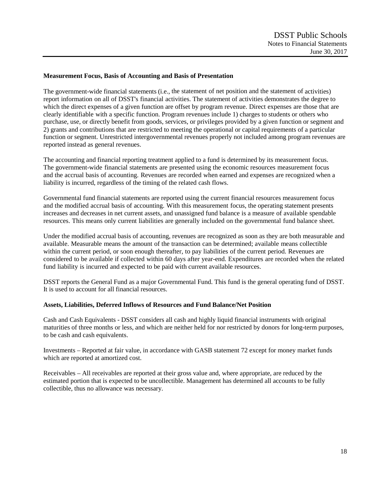#### **Measurement Focus, Basis of Accounting and Basis of Presentation**

The government-wide financial statements (i.e., the statement of net position and the statement of activities) report information on all of DSST's financial activities. The statement of activities demonstrates the degree to which the direct expenses of a given function are offset by program revenue. Direct expenses are those that are clearly identifiable with a specific function. Program revenues include 1) charges to students or others who purchase, use, or directly benefit from goods, services, or privileges provided by a given function or segment and 2) grants and contributions that are restricted to meeting the operational or capital requirements of a particular function or segment. Unrestricted intergovernmental revenues properly not included among program revenues are reported instead as general revenues.

The accounting and financial reporting treatment applied to a fund is determined by its measurement focus. The government-wide financial statements are presented using the economic resources measurement focus and the accrual basis of accounting. Revenues are recorded when earned and expenses are recognized when a liability is incurred, regardless of the timing of the related cash flows.

Governmental fund financial statements are reported using the current financial resources measurement focus and the modified accrual basis of accounting. With this measurement focus, the operating statement presents increases and decreases in net current assets, and unassigned fund balance is a measure of available spendable resources. This means only current liabilities are generally included on the governmental fund balance sheet.

Under the modified accrual basis of accounting, revenues are recognized as soon as they are both measurable and available. Measurable means the amount of the transaction can be determined; available means collectible within the current period, or soon enough thereafter, to pay liabilities of the current period. Revenues are considered to be available if collected within 60 days after year-end. Expenditures are recorded when the related fund liability is incurred and expected to be paid with current available resources.

DSST reports the General Fund as a major Governmental Fund. This fund is the general operating fund of DSST. It is used to account for all financial resources.

#### **Assets, Liabilities, Deferred Inflows of Resources and Fund Balance/Net Position**

Cash and Cash Equivalents - DSST considers all cash and highly liquid financial instruments with original maturities of three months or less, and which are neither held for nor restricted by donors for long-term purposes, to be cash and cash equivalents.

Investments – Reported at fair value, in accordance with GASB statement 72 except for money market funds which are reported at amortized cost.

Receivables – All receivables are reported at their gross value and, where appropriate, are reduced by the estimated portion that is expected to be uncollectible. Management has determined all accounts to be fully collectible, thus no allowance was necessary.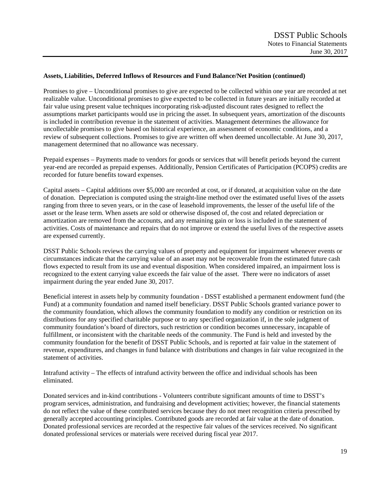### **Assets, Liabilities, Deferred Inflows of Resources and Fund Balance/Net Position (continued)**

Promises to give – Unconditional promises to give are expected to be collected within one year are recorded at net realizable value. Unconditional promises to give expected to be collected in future years are initially recorded at fair value using present value techniques incorporating risk-adjusted discount rates designed to reflect the assumptions market participants would use in pricing the asset. In subsequent years, amortization of the discounts is included in contribution revenue in the statement of activities. Management determines the allowance for uncollectable promises to give based on historical experience, an assessment of economic conditions, and a review of subsequent collections. Promises to give are written off when deemed uncollectable. At June 30, 2017, management determined that no allowance was necessary.

Prepaid expenses – Payments made to vendors for goods or services that will benefit periods beyond the current year-end are recorded as prepaid expenses. Additionally, Pension Certificates of Participation (PCOPS) credits are recorded for future benefits toward expenses.

Capital assets – Capital additions over \$5,000 are recorded at cost, or if donated, at acquisition value on the date of donation. Depreciation is computed using the straight-line method over the estimated useful lives of the assets ranging from three to seven years, or in the case of leasehold improvements, the lesser of the useful life of the asset or the lease term. When assets are sold or otherwise disposed of, the cost and related depreciation or amortization are removed from the accounts, and any remaining gain or loss is included in the statement of activities. Costs of maintenance and repairs that do not improve or extend the useful lives of the respective assets are expensed currently.

DSST Public Schools reviews the carrying values of property and equipment for impairment whenever events or circumstances indicate that the carrying value of an asset may not be recoverable from the estimated future cash flows expected to result from its use and eventual disposition. When considered impaired, an impairment loss is recognized to the extent carrying value exceeds the fair value of the asset. There were no indicators of asset impairment during the year ended June 30, 2017.

Beneficial interest in assets help by community foundation - DSST established a permanent endowment fund (the Fund) at a community foundation and named itself beneficiary. DSST Public Schools granted variance power to the community foundation, which allows the community foundation to modify any condition or restriction on its distributions for any specified charitable purpose or to any specified organization if, in the sole judgment of community foundation's board of directors, such restriction or condition becomes unnecessary, incapable of fulfillment, or inconsistent with the charitable needs of the community. The Fund is held and invested by the community foundation for the benefit of DSST Public Schools, and is reported at fair value in the statement of revenue, expenditures, and changes in fund balance with distributions and changes in fair value recognized in the statement of activities.

Intrafund activity – The effects of intrafund activity between the office and individual schools has been eliminated.

Donated services and in-kind contributions - Volunteers contribute significant amounts of time to DSST's program services, administration, and fundraising and development activities; however, the financial statements do not reflect the value of these contributed services because they do not meet recognition criteria prescribed by generally accepted accounting principles. Contributed goods are recorded at fair value at the date of donation. Donated professional services are recorded at the respective fair values of the services received. No significant donated professional services or materials were received during fiscal year 2017.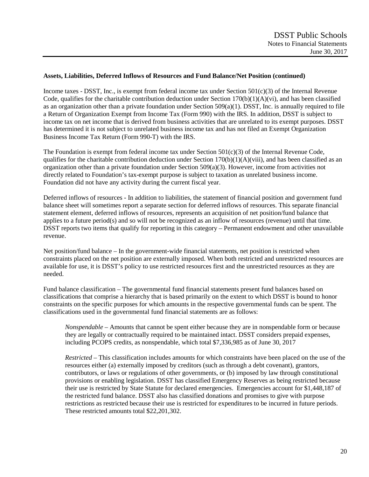### **Assets, Liabilities, Deferred Inflows of Resources and Fund Balance/Net Position (continued)**

Income taxes - DSST, Inc., is exempt from federal income tax under Section  $501(c)(3)$  of the Internal Revenue Code, qualifies for the charitable contribution deduction under Section  $170(b)(1)(A)(vi)$ , and has been classified as an organization other than a private foundation under Section  $509(a)(1)$ . DSST, Inc. is annually required to file a Return of Organization Exempt from Income Tax (Form 990) with the IRS. In addition, DSST is subject to income tax on net income that is derived from business activities that are unrelated to its exempt purposes. DSST has determined it is not subject to unrelated business income tax and has not filed an Exempt Organization Business Income Tax Return (Form 990-T) with the IRS.

The Foundation is exempt from federal income tax under Section  $501(c)(3)$  of the Internal Revenue Code, qualifies for the charitable contribution deduction under Section  $170(b)(1)(A)(viii)$ , and has been classified as an organization other than a private foundation under Section  $509(a)(3)$ . However, income from activities not directly related to Foundation's tax-exempt purpose is subject to taxation as unrelated business income. Foundation did not have any activity during the current fiscal year.

Deferred inflows of resources - In addition to liabilities, the statement of financial position and government fund balance sheet will sometimes report a separate section for deferred inflows of resources. This separate financial statement element, deferred inflows of resources, represents an acquisition of net position/fund balance that applies to a future period(s) and so will not be recognized as an inflow of resources (revenue) until that time. DSST reports two items that qualify for reporting in this category – Permanent endowment and other unavailable revenue.

Net position/fund balance – In the government-wide financial statements, net position is restricted when constraints placed on the net position are externally imposed. When both restricted and unrestricted resources are available for use, it is DSST's policy to use restricted resources first and the unrestricted resources as they are needed.

Fund balance classification – The governmental fund financial statements present fund balances based on classifications that comprise a hierarchy that is based primarily on the extent to which DSST is bound to honor constraints on the specific purposes for which amounts in the respective governmental funds can be spent. The classifications used in the governmental fund financial statements are as follows:

*Nonspendable* – Amounts that cannot be spent either because they are in nonspendable form or because they are legally or contractually required to be maintained intact. DSST considers prepaid expenses, including PCOPS credits, as nonspendable, which total \$7,336,985 as of June 30, 2017

*Restricted* – This classification includes amounts for which constraints have been placed on the use of the resources either (a) externally imposed by creditors (such as through a debt covenant), grantors, contributors, or laws or regulations of other governments, or (b) imposed by law through constitutional provisions or enabling legislation. DSST has classified Emergency Reserves as being restricted because their use is restricted by State Statute for declared emergencies. Emergencies account for \$1,448,187 of the restricted fund balance. DSST also has classified donations and promises to give with purpose restrictions as restricted because their use is restricted for expenditures to be incurred in future periods. These restricted amounts total \$22,201,302.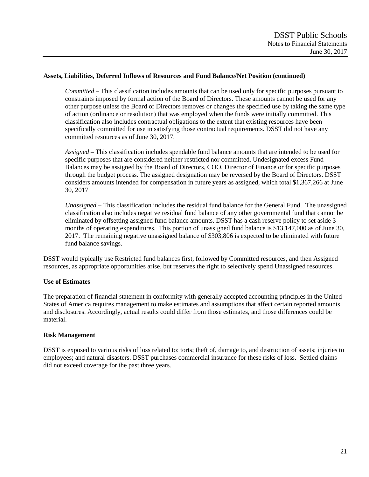#### **Assets, Liabilities, Deferred Inflows of Resources and Fund Balance/Net Position (continued)**

*Committed* – This classification includes amounts that can be used only for specific purposes pursuant to constraints imposed by formal action of the Board of Directors. These amounts cannot be used for any other purpose unless the Board of Directors removes or changes the specified use by taking the same type of action (ordinance or resolution) that was employed when the funds were initially committed. This classification also includes contractual obligations to the extent that existing resources have been specifically committed for use in satisfying those contractual requirements. DSST did not have any committed resources as of June 30, 2017.

*Assigned* – This classification includes spendable fund balance amounts that are intended to be used for specific purposes that are considered neither restricted nor committed. Undesignated excess Fund Balances may be assigned by the Board of Directors, COO, Director of Finance or for specific purposes through the budget process. The assigned designation may be reversed by the Board of Directors. DSST considers amounts intended for compensation in future years as assigned, which total \$1,367,266 at June 30, 2017

*Unassigned* – This classification includes the residual fund balance for the General Fund. The unassigned classification also includes negative residual fund balance of any other governmental fund that cannot be eliminated by offsetting assigned fund balance amounts. DSST has a cash reserve policy to set aside 3 months of operating expenditures. This portion of unassigned fund balance is \$13,147,000 as of June 30, 2017. The remaining negative unassigned balance of \$303,806 is expected to be eliminated with future fund balance savings.

DSST would typically use Restricted fund balances first, followed by Committed resources, and then Assigned resources, as appropriate opportunities arise, but reserves the right to selectively spend Unassigned resources.

### **Use of Estimates**

The preparation of financial statement in conformity with generally accepted accounting principles in the United States of America requires management to make estimates and assumptions that affect certain reported amounts and disclosures. Accordingly, actual results could differ from those estimates, and those differences could be material.

### **Risk Management**

DSST is exposed to various risks of loss related to: torts; theft of, damage to, and destruction of assets; injuries to employees; and natural disasters. DSST purchases commercial insurance for these risks of loss. Settled claims did not exceed coverage for the past three years.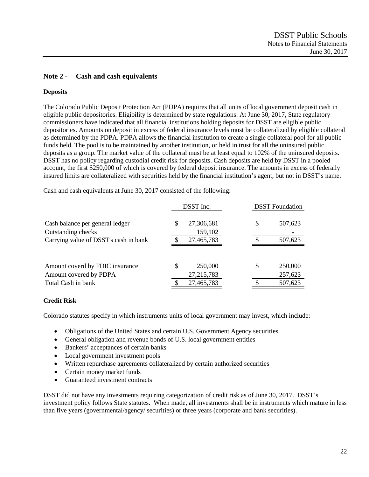## **Note 2 - Cash and cash equivalents**

### **Deposits**

The Colorado Public Deposit Protection Act (PDPA) requires that all units of local government deposit cash in eligible public depositories. Eligibility is determined by state regulations. At June 30, 2017, State regulatory commissioners have indicated that all financial institutions holding deposits for DSST are eligible public depositories. Amounts on deposit in excess of federal insurance levels must be collateralized by eligible collateral as determined by the PDPA. PDPA allows the financial institution to create a single collateral pool for all public funds held. The pool is to be maintained by another institution, or held in trust for all the uninsured public deposits as a group. The market value of the collateral must be at least equal to 102% of the uninsured deposits. DSST has no policy regarding custodial credit risk for deposits. Cash deposits are held by DSST in a pooled account, the first \$250,000 of which is covered by federal deposit insurance. The amounts in excess of federally insured limits are collateralized with securities held by the financial institution's agent, but not in DSST's name.

Cash and cash equivalents at June 30, 2017 consisted of the following:

|                                                              | DSST Inc.                     | <b>DSST</b> Foundation |                    |  |  |
|--------------------------------------------------------------|-------------------------------|------------------------|--------------------|--|--|
| Cash balance per general ledger<br><b>Outstanding checks</b> | \$<br>27,306,681<br>159,102   | \$                     | 507,623            |  |  |
| Carrying value of DSST's cash in bank                        | 27,465,783                    |                        | 507,623            |  |  |
| Amount coverd by FDIC insurance<br>Amount covered by PDPA    | \$<br>250,000<br>27, 215, 783 | S                      | 250,000<br>257,623 |  |  |
| Total Cash in bank                                           | 27,465,783                    |                        | 507,623            |  |  |

## **Credit Risk**

Colorado statutes specify in which instruments units of local government may invest, which include:

- Obligations of the United States and certain U.S. Government Agency securities
- General obligation and revenue bonds of U.S. local government entities
- Bankers' acceptances of certain banks
- Local government investment pools
- Written repurchase agreements collateralized by certain authorized securities
- Certain money market funds
- Guaranteed investment contracts

DSST did not have any investments requiring categorization of credit risk as of June 30, 2017. DSST's investment policy follows State statutes. When made, all investments shall be in instruments which mature in less than five years (governmental/agency/ securities) or three years (corporate and bank securities).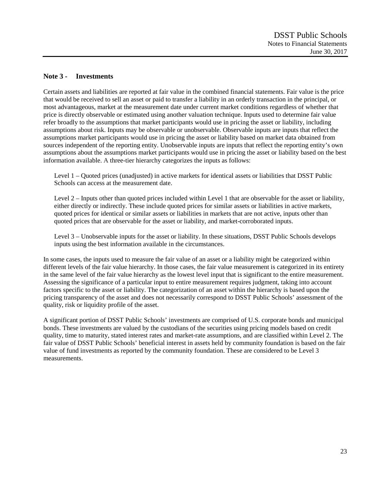## **Note 3 - Investments**

Certain assets and liabilities are reported at fair value in the combined financial statements. Fair value is the price that would be received to sell an asset or paid to transfer a liability in an orderly transaction in the principal, or most advantageous, market at the measurement date under current market conditions regardless of whether that price is directly observable or estimated using another valuation technique. Inputs used to determine fair value refer broadly to the assumptions that market participants would use in pricing the asset or liability, including assumptions about risk. Inputs may be observable or unobservable. Observable inputs are inputs that reflect the assumptions market participants would use in pricing the asset or liability based on market data obtained from sources independent of the reporting entity. Unobservable inputs are inputs that reflect the reporting entity's own assumptions about the assumptions market participants would use in pricing the asset or liability based on the best information available. A three-tier hierarchy categorizes the inputs as follows:

Level 1 – Quoted prices (unadjusted) in active markets for identical assets or liabilities that DSST Public Schools can access at the measurement date.

Level 2 – Inputs other than quoted prices included within Level 1 that are observable for the asset or liability, either directly or indirectly. These include quoted prices for similar assets or liabilities in active markets, quoted prices for identical or similar assets or liabilities in markets that are not active, inputs other than quoted prices that are observable for the asset or liability, and market-corroborated inputs.

Level 3 – Unobservable inputs for the asset or liability. In these situations, DSST Public Schools develops inputs using the best information available in the circumstances.

In some cases, the inputs used to measure the fair value of an asset or a liability might be categorized within different levels of the fair value hierarchy. In those cases, the fair value measurement is categorized in its entirety in the same level of the fair value hierarchy as the lowest level input that is significant to the entire measurement. Assessing the significance of a particular input to entire measurement requires judgment, taking into account factors specific to the asset or liability. The categorization of an asset within the hierarchy is based upon the pricing transparency of the asset and does not necessarily correspond to DSST Public Schools' assessment of the quality, risk or liquidity profile of the asset.

A significant portion of DSST Public Schools' investments are comprised of U.S. corporate bonds and municipal bonds. These investments are valued by the custodians of the securities using pricing models based on credit quality, time to maturity, stated interest rates and market-rate assumptions, and are classified within Level 2. The fair value of DSST Public Schools' beneficial interest in assets held by community foundation is based on the fair value of fund investments as reported by the community foundation. These are considered to be Level 3 measurements.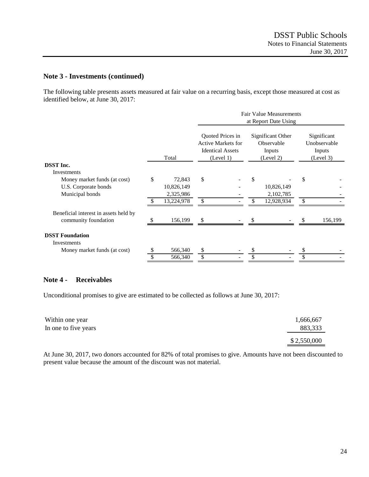## **Note 3 - Investments (continued)**

The following table presents assets measured at fair value on a recurring basis, except those measured at cost as identified below, at June 30, 2017:

|                                       |              | <b>Fair Value Measurements</b><br>at Report Date Using                                |  |    |                                                        |    |                                                    |  |  |  |  |  |
|---------------------------------------|--------------|---------------------------------------------------------------------------------------|--|----|--------------------------------------------------------|----|----------------------------------------------------|--|--|--|--|--|
|                                       | Total        | Quoted Prices in<br><b>Active Markets for</b><br><b>Identical Assets</b><br>(Level 1) |  |    | Significant Other<br>Observable<br>Inputs<br>(Level 2) |    | Significant<br>Unobservable<br>Inputs<br>(Level 3) |  |  |  |  |  |
| <b>DSST</b> Inc.                      |              |                                                                                       |  |    |                                                        |    |                                                    |  |  |  |  |  |
| Investments                           |              |                                                                                       |  |    |                                                        |    |                                                    |  |  |  |  |  |
| Money market funds (at cost)          | \$<br>72,843 | \$                                                                                    |  | \$ |                                                        | \$ |                                                    |  |  |  |  |  |
| U.S. Corporate bonds                  | 10,826,149   |                                                                                       |  |    | 10,826,149                                             |    |                                                    |  |  |  |  |  |
| Municipal bonds                       | 2,325,986    |                                                                                       |  |    | 2,102,785                                              |    |                                                    |  |  |  |  |  |
|                                       | 13,224,978   | \$                                                                                    |  |    | 12,928,934                                             | \$ |                                                    |  |  |  |  |  |
| Beneficial interest in assets held by |              |                                                                                       |  |    |                                                        |    |                                                    |  |  |  |  |  |
| community foundation                  | 156,199      | \$                                                                                    |  | \$ |                                                        | S  | 156,199                                            |  |  |  |  |  |
| <b>DSST Foundation</b>                |              |                                                                                       |  |    |                                                        |    |                                                    |  |  |  |  |  |
| Investments                           |              |                                                                                       |  |    |                                                        |    |                                                    |  |  |  |  |  |
| Money market funds (at cost)          | 566,340      | \$                                                                                    |  | \$ |                                                        |    |                                                    |  |  |  |  |  |
|                                       | 566,340      | \$                                                                                    |  |    |                                                        |    |                                                    |  |  |  |  |  |

## **Note 4 - Receivables**

Unconditional promises to give are estimated to be collected as follows at June 30, 2017:

| Within one year      | 1,666,667   |
|----------------------|-------------|
| In one to five years | 883,333     |
|                      | \$2,550,000 |

At June 30, 2017, two donors accounted for 82% of total promises to give. Amounts have not been discounted to present value because the amount of the discount was not material.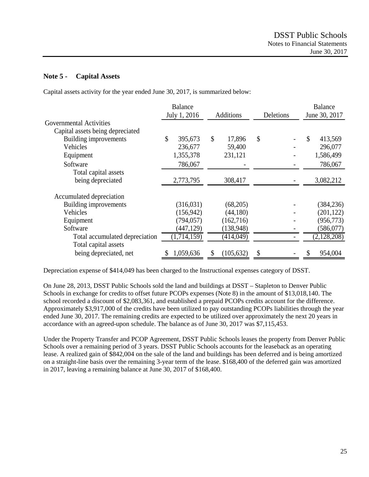## **Note 5 - Capital Assets**

Capital assets activity for the year ended June 30, 2017, is summarized below:

|                                  | <b>Balance</b><br>July 1, 2016 | <b>Additions</b> | Deletions | <b>Balance</b><br>June 30, 2017 |
|----------------------------------|--------------------------------|------------------|-----------|---------------------------------|
| Governmental Activities          |                                |                  |           |                                 |
| Capital assets being depreciated |                                |                  |           |                                 |
| <b>Building improvements</b>     | \$<br>395,673                  | \$<br>17,896     | \$        | \$<br>413,569                   |
| Vehicles                         | 236,677                        | 59,400           |           | 296,077                         |
| Equipment                        | 1,355,378                      | 231,121          |           | 1,586,499                       |
| Software                         | 786,067                        |                  |           | 786,067                         |
| Total capital assets             |                                |                  |           |                                 |
| being depreciated                | 2,773,795                      | 308,417          |           | 3,082,212                       |
| Accumulated depreciation         |                                |                  |           |                                 |
| Building improvements            | (316,031)                      | (68,205)         |           | (384, 236)                      |
| Vehicles                         | (156, 942)                     | (44,180)         |           | (201, 122)                      |
| Equipment                        | (794, 057)                     | (162, 716)       |           | (956, 773)                      |
| Software                         | (447, 129)                     | (138, 948)       |           | (586, 077)                      |
| Total accumulated depreciation   | (1,714,159)                    | (414, 049)       |           | (2,128,208)                     |
| Total capital assets             |                                |                  |           |                                 |
| being depreciated, net           | 1,059,636<br>\$                | (105, 632)<br>S  | \$        | 954,004                         |

Depreciation expense of \$414,049 has been charged to the Instructional expenses category of DSST.

On June 28, 2013, DSST Public Schools sold the land and buildings at DSST – Stapleton to Denver Public Schools in exchange for credits to offset future PCOPs expenses (Note 8) in the amount of \$13,018,140. The school recorded a discount of \$2,083,361, and established a prepaid PCOPs credits account for the difference. Approximately \$3,917,000 of the credits have been utilized to pay outstanding PCOPs liabilities through the year ended June 30, 2017. The remaining credits are expected to be utilized over approximately the next 20 years in accordance with an agreed-upon schedule. The balance as of June 30, 2017 was \$7,115,453.

Under the Property Transfer and PCOP Agreement, DSST Public Schools leases the property from Denver Public Schools over a remaining period of 3 years. DSST Public Schools accounts for the leaseback as an operating lease. A realized gain of \$842,004 on the sale of the land and buildings has been deferred and is being amortized on a straight-line basis over the remaining 3-year term of the lease. \$168,400 of the deferred gain was amortized in 2017, leaving a remaining balance at June 30, 2017 of \$168,400.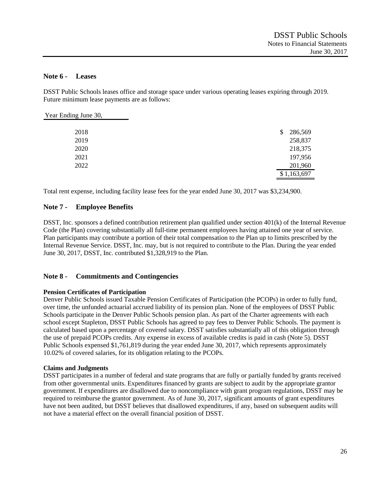### **Note 6 - Leases**

DSST Public Schools leases office and storage space under various operating leases expiring through 2019. Future minimum lease payments are as follows:

Year Ending June 30,

| 2018 | \$<br>286,569 |
|------|---------------|
| 2019 | 258,837       |
| 2020 | 218,375       |
| 2021 | 197,956       |
| 2022 | 201,960       |
|      | \$1,163,697   |

Total rent expense, including facility lease fees for the year ended June 30, 2017 was \$3,234,900.

## **Note 7 - Employee Benefits**

DSST, Inc. sponsors a defined contribution retirement plan qualified under section 401(k) of the Internal Revenue Code (the Plan) covering substantially all full-time permanent employees having attained one year of service. Plan participants may contribute a portion of their total compensation to the Plan up to limits prescribed by the Internal Revenue Service. DSST, Inc. may, but is not required to contribute to the Plan. During the year ended June 30, 2017, DSST, Inc. contributed \$1,328,919 to the Plan.

## **Note 8 - Commitments and Contingencies**

## **Pension Certificates of Participation**

Denver Public Schools issued Taxable Pension Certificates of Participation (the PCOPs) in order to fully fund, over time, the unfunded actuarial accrued liability of its pension plan. None of the employees of DSST Public Schools participate in the Denver Public Schools pension plan. As part of the Charter agreements with each school except Stapleton, DSST Public Schools has agreed to pay fees to Denver Public Schools. The payment is calculated based upon a percentage of covered salary. DSST satisfies substantially all of this obligation through the use of prepaid PCOPs credits. Any expense in excess of available credits is paid in cash (Note 5). DSST Public Schools expensed \$1,761,819 during the year ended June 30, 2017, which represents approximately 10.02% of covered salaries, for its obligation relating to the PCOPs.

### **Claims and Judgments**

DSST participates in a number of federal and state programs that are fully or partially funded by grants received from other governmental units. Expenditures financed by grants are subject to audit by the appropriate grantor government. If expenditures are disallowed due to noncompliance with grant program regulations, DSST may be required to reimburse the grantor government. As of June 30, 2017, significant amounts of grant expenditures have not been audited, but DSST believes that disallowed expenditures, if any, based on subsequent audits will not have a material effect on the overall financial position of DSST.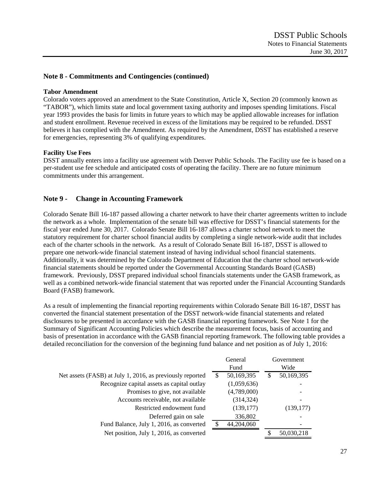### **Note 8 - Commitments and Contingencies (continued)**

#### **Tabor Amendment**

Colorado voters approved an amendment to the State Constitution, Article X, Section 20 (commonly known as "TABOR"), which limits state and local government taxing authority and imposes spending limitations. Fiscal year 1993 provides the basis for limits in future years to which may be applied allowable increases for inflation and student enrollment. Revenue received in excess of the limitations may be required to be refunded. DSST believes it has complied with the Amendment. As required by the Amendment, DSST has established a reserve for emergencies, representing 3% of qualifying expenditures.

### **Facility Use Fees**

DSST annually enters into a facility use agreement with Denver Public Schools. The Facility use fee is based on a per-student use fee schedule and anticipated costs of operating the facility. There are no future minimum commitments under this arrangement.

### **Note 9 - Change in Accounting Framework**

Colorado Senate Bill 16-187 passed allowing a charter network to have their charter agreements written to include the network as a whole. Implementation of the senate bill was effective for DSST's financial statements for the fiscal year ended June 30, 2017. Colorado Senate Bill 16-187 allows a charter school network to meet the statutory requirement for charter school financial audits by completing a single network-wide audit that includes each of the charter schools in the network. As a result of Colorado Senate Bill 16-187, DSST is allowed to prepare one network-wide financial statement instead of having individual school financial statements. Additionally, it was determined by the Colorado Department of Education that the charter school network-wide financial statements should be reported under the Governmental Accounting Standards Board (GASB) framework. Previously, DSST prepared individual school financials statements under the GASB framework, as well as a combined network-wide financial statement that was reported under the Financial Accounting Standards Board (FASB) framework.

As a result of implementing the financial reporting requirements within Colorado Senate Bill 16-187, DSST has converted the financial statement presentation of the DSST network-wide financial statements and related disclosures to be presented in accordance with the GASB financial reporting framework. See Note 1 for the Summary of Significant Accounting Policies which describe the measurement focus, basis of accounting and basis of presentation in accordance with the GASB financial reporting framework. The following table provides a detailed reconciliation for the conversion of the beginning fund balance and net position as of July 1, 2016:

General Government

|                                                           |    | OCHEIAI     | <b>OUVELIBELL</b> |
|-----------------------------------------------------------|----|-------------|-------------------|
|                                                           |    | Fund        | Wide              |
| Net assets (FASB) at July 1, 2016, as previously reported | -S | 50,169,395  | \$<br>50,169,395  |
| Recognize capital assets as capital outlay                |    | (1,059,636) |                   |
| Promises to give, not available                           |    | (4,789,000) |                   |
| Accounts receivable, not available                        |    | (314, 324)  |                   |
| Restricted endowment fund                                 |    | (139, 177)  | (139, 177)        |
| Deferred gain on sale                                     |    | 336,802     |                   |
| Fund Balance, July 1, 2016, as converted                  |    | 44,204,060  |                   |
| Net position, July 1, 2016, as converted                  |    |             | 50,030,218        |
|                                                           |    |             |                   |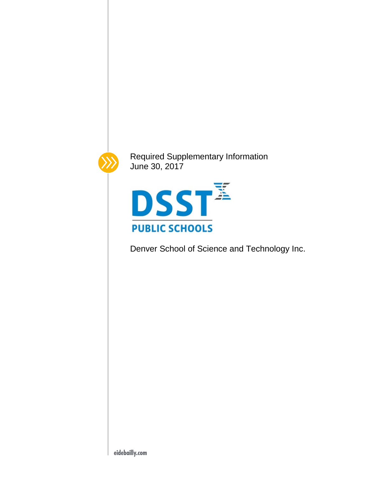

Required Supplementary Information June 30, 2017



Denver School of Science and Technology Inc.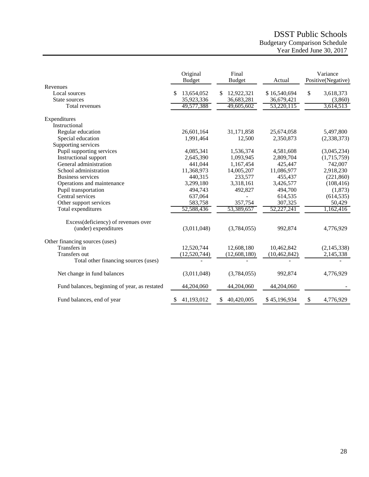# DSST Public Schools Budgetary Comparison Schedule Year Ended June 30, 2017

|                                               | Original<br><b>Budget</b> | Final<br><b>Budget</b> | Actual         | Variance<br>Positive(Negative) |
|-----------------------------------------------|---------------------------|------------------------|----------------|--------------------------------|
| Revenues<br>Local sources                     | 13,654,052<br>\$          | 12,922,321<br>\$.      | \$16,540,694   | \$<br>3,618,373                |
| State sources                                 | 35,923,336                | 36,683,281             | 36,679,421     | (3,860)                        |
| Total revenues                                | 49,577,388                | 49,605,602             | 53,220,115     | 3,614,513                      |
|                                               |                           |                        |                |                                |
| Expenditures                                  |                           |                        |                |                                |
| <b>Instructional</b>                          |                           |                        |                |                                |
| Regular education                             | 26,601,164                | 31,171,858             | 25,674,058     | 5,497,800                      |
| Special education                             | 1,991,464                 | 12,500                 | 2,350,873      | (2,338,373)                    |
| Supporting services                           |                           |                        |                |                                |
| Pupil supporting services                     | 4,085,341                 | 1,536,374              | 4,581,608      | (3,045,234)                    |
| Instructional support                         | 2,645,390                 | 1,093,945              | 2,809,704      | (1,715,759)                    |
| General administration                        | 441,044                   | 1,167,454              | 425,447        | 742,007                        |
| School administration                         | 11,368,973                | 14,005,207             | 11,086,977     | 2,918,230                      |
| <b>Business services</b>                      | 440,315                   | 233,577                | 455,437        | (221, 860)                     |
| Operations and maintenance                    | 3,299,180                 | 3,318,161              | 3,426,577      | (108, 416)                     |
| Pupil transportation                          | 494,743                   | 492,827                | 494,700        | (1,873)                        |
| Central services                              | 637,064                   |                        | 614,535        | (614, 535)                     |
| Other support services                        | 583,758                   | 357,754                | 307,325        | 50,429                         |
| Total expenditures                            | 52,588,436                | 53,389,657             | 52,227,241     | 1,162,416                      |
| Excess(deficiency) of revenues over           |                           |                        |                |                                |
| (under) expenditures                          | (3,011,048)               | (3,784,055)            | 992,874        | 4,776,929                      |
| Other financing sources (uses)                |                           |                        |                |                                |
| Transfers in                                  | 12,520,744                | 12,608,180             | 10,462,842     | (2,145,338)                    |
| Transfers out                                 | (12,520,744)              | (12,608,180)           | (10, 462, 842) | 2,145,338                      |
| Total other financing sources (uses)          |                           |                        |                |                                |
| Net change in fund balances                   | (3,011,048)               | (3,784,055)            | 992,874        | 4,776,929                      |
|                                               |                           |                        |                |                                |
| Fund balances, beginning of year, as restated | 44,204,060                | 44,204,060             | 44,204,060     |                                |
| Fund balances, end of year                    | 41,193,012                | \$40,420,005           | \$45,196,934   | 4,776,929<br>\$                |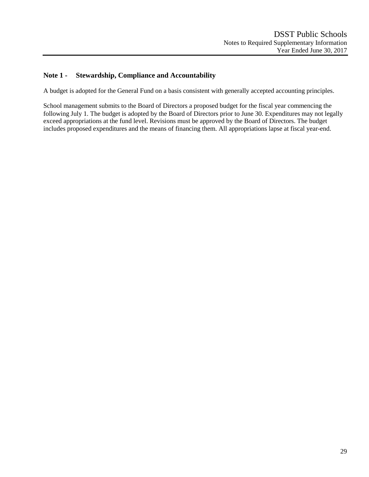## **Note 1 - Stewardship, Compliance and Accountability**

A budget is adopted for the General Fund on a basis consistent with generally accepted accounting principles.

School management submits to the Board of Directors a proposed budget for the fiscal year commencing the following July 1. The budget is adopted by the Board of Directors prior to June 30. Expenditures may not legally exceed appropriations at the fund level. Revisions must be approved by the Board of Directors. The budget includes proposed expenditures and the means of financing them. All appropriations lapse at fiscal year-end.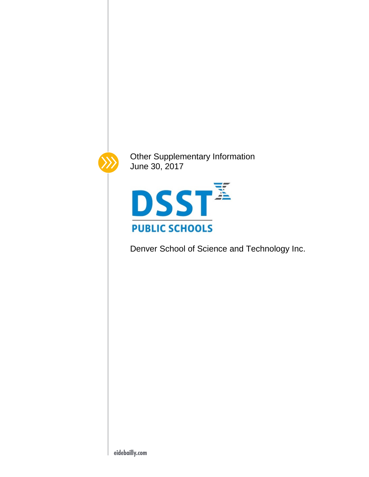

Other Supplementary Information June 30, 2017



Denver School of Science and Technology Inc.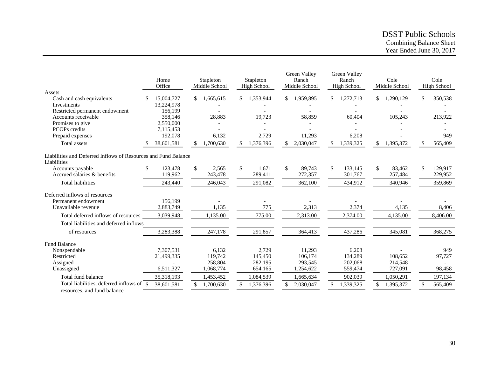## DSST Public Schools Combining Balance Sheet Year Ended June 30, 2017

|                                                                               | Home<br>Office       | Stapleton<br>Middle School | Stapleton<br>High School | <b>Green Valley</b><br>Ranch<br>Middle School | <b>Green Valley</b><br>Ranch<br><b>High School</b> | Cole<br>Middle School     | Cole<br><b>High School</b> |
|-------------------------------------------------------------------------------|----------------------|----------------------------|--------------------------|-----------------------------------------------|----------------------------------------------------|---------------------------|----------------------------|
| Assets                                                                        |                      |                            |                          |                                               |                                                    |                           |                            |
| Cash and cash equivalents                                                     | 15,004,727           | 1,665,615<br>\$            | 1,353,944                | 1,959,895<br>\$                               | 1,272,713<br>\$                                    | 1,290,129<br>\$           | 350,538<br>\$              |
| Investments                                                                   | 13.224.978           |                            |                          |                                               |                                                    |                           |                            |
| Restricted permanent endowment<br>Accounts receivable                         | 156,199              |                            |                          |                                               |                                                    |                           |                            |
| Promises to give                                                              | 358,146<br>2,550,000 | 28,883                     | 19,723                   | 58,859                                        | 60,404                                             | 105,243                   | 213,922                    |
| <b>PCOPs</b> credits                                                          | 7,115,453            |                            |                          |                                               |                                                    |                           |                            |
| Prepaid expenses                                                              | 192,078              | 6,132                      | 2,729                    | 11,293                                        | 6,208                                              |                           | 949                        |
| <b>Total assets</b>                                                           | 38,601,581           | 1,700,630<br>\$            | 1,376,396<br>\$          | 2,030,047<br>\$                               | 1,339,325<br>\$                                    | $\mathbb{S}$<br>1,395,372 | 565,409<br>\$              |
|                                                                               |                      |                            |                          |                                               |                                                    |                           |                            |
| Liabilities and Deferred Inflows of Resources and Fund Balance<br>Liabilities |                      |                            |                          |                                               |                                                    |                           |                            |
| Accounts payable                                                              | \$<br>123,478        | $\mathbb{S}$<br>2,565      | $\mathbb{S}$<br>1,671    | \$<br>89,743                                  | \$<br>133,145                                      | \$<br>83,462              | 129,917<br>\$              |
| Accrued salaries & benefits                                                   | 119,962              | 243,478                    | 289,411                  | 272,357                                       | 301,767                                            | 257,484                   | 229,952                    |
| <b>Total liabilities</b>                                                      | 243,440              | 246,043                    | 291,082                  | 362,100                                       | 434,912                                            | 340,946                   | 359,869                    |
| Deferred inflows of resources                                                 |                      |                            |                          |                                               |                                                    |                           |                            |
| Permanent endowment                                                           | 156.199              |                            |                          |                                               |                                                    |                           |                            |
| Unavailable revenue                                                           | 2,883,749            | 1,135                      | 775                      | 2,313                                         | 2,374                                              | 4,135                     | 8,406                      |
| Total deferred inflows of resources                                           | 3,039,948            | 1.135.00                   | 775.00                   | 2,313.00                                      | 2,374.00                                           | 4,135.00                  | 8,406.00                   |
| Total liabilities and deferred inflows                                        |                      |                            |                          |                                               |                                                    |                           |                            |
| of resources                                                                  | 3,283,388            | 247,178                    | 291,857                  | 364,413                                       | 437,286                                            | 345,081                   | 368,275                    |
| <b>Fund Balance</b>                                                           |                      |                            |                          |                                               |                                                    |                           |                            |
| Nonspendable                                                                  | 7,307,531            | 6,132                      | 2,729                    | 11,293                                        | 6,208                                              |                           | 949                        |
| Restricted                                                                    | 21,499,335           | 119,742                    | 145,450                  | 106,174                                       | 134,289                                            | 108,652                   | 97,727                     |
| Assigned                                                                      |                      | 258,804                    | 282,195                  | 293,545                                       | 202,068                                            | 214,548                   |                            |
| Unassigned                                                                    | 6,511,327            | 1,068,774                  | 654,165                  | 1,254,622                                     | 559,474                                            | 727,091                   | 98,458                     |
| Total fund balance                                                            | 35,318,193           | 1,453,452                  | 1,084,539                | 1,665,634                                     | 902,039                                            | 1,050,291                 | 197,134                    |
| Total liabilities, deferred inflows of \,                                     | 38,601,581           | 1,700,630                  | 1,376,396                | 2,030,047                                     | 1,339,325                                          | 1,395,372                 | 565,409<br>\$              |
| resources, and fund balance                                                   |                      |                            |                          |                                               |                                                    |                           |                            |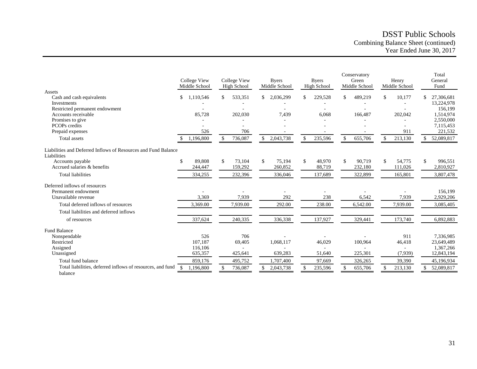# DSST Public Schools Combining Balance Sheet (continued)

Year Ended June 30, 2017

|                                                                               | College View<br>Middle School |               | College View<br><b>High School</b> | <b>Byers</b><br>Middle School |              | <b>Byers</b><br><b>High School</b> |    | Conservatory<br>Green<br>Middle School |                    | Henry<br>Middle School | Total<br>General<br>Fund |
|-------------------------------------------------------------------------------|-------------------------------|---------------|------------------------------------|-------------------------------|--------------|------------------------------------|----|----------------------------------------|--------------------|------------------------|--------------------------|
| Assets                                                                        |                               |               |                                    |                               |              |                                    |    |                                        |                    |                        |                          |
| Cash and cash equivalents                                                     | 1,110,546                     | \$.           | 533,351                            | 2,036,299                     | \$.          | 229,528                            | \$ | 489,219                                | $\mathcal{S}$      | 10,177                 | 27,306,681               |
| Investments                                                                   |                               |               |                                    |                               |              |                                    |    |                                        |                    |                        | 13,224,978               |
| Restricted permanent endowment                                                |                               |               |                                    |                               |              |                                    |    |                                        |                    |                        | 156,199                  |
| Accounts receivable                                                           | 85,728                        |               | 202,030                            | 7,439                         |              | 6,068                              |    | 166,487                                |                    | 202,042                | 1,514,974                |
| Promises to give                                                              |                               |               |                                    |                               |              |                                    |    |                                        |                    |                        | 2,550,000                |
| PCOPs credits                                                                 | 526                           |               | 706                                |                               |              |                                    |    |                                        |                    | 911                    | 7,115,453<br>221,532     |
| Prepaid expenses                                                              |                               |               |                                    |                               |              |                                    |    |                                        |                    |                        |                          |
| Total assets                                                                  | 1,196,800                     | <sup>\$</sup> | 736,087                            | \$<br>2,043,738               | \$           | 235,596                            | S. | 655,706                                | \$                 | 213,130                | 52,089,817               |
| Liabilities and Deferred Inflows of Resources and Fund Balance<br>Liabilities |                               |               |                                    |                               |              |                                    |    |                                        |                    |                        |                          |
| Accounts payable                                                              | \$<br>89,808                  | \$            | 73,104                             | \$<br>75,194                  | $\mathbb{S}$ | 48,970                             | \$ | 90,719                                 | $\mathbf{\hat{S}}$ | 54,775                 | \$<br>996,551            |
| Accrued salaries & benefits                                                   | 244,447                       |               | 159,292                            | 260,852                       |              | 88,719                             |    | 232,180                                |                    | 111,026                | 2,810,927                |
| <b>Total liabilities</b>                                                      | 334,255                       |               | 232,396                            | 336,046                       |              | 137,689                            |    | 322,899                                |                    | 165,801                | 3,807,478                |
| Deferred inflows of resources                                                 |                               |               |                                    |                               |              |                                    |    |                                        |                    |                        |                          |
| Permanent endowment                                                           |                               |               |                                    |                               |              |                                    |    |                                        |                    |                        | 156.199                  |
| Unavailable revenue                                                           | 3,369                         |               | 7,939                              | 292                           |              | 238                                |    | 6,542                                  |                    | 7,939                  | 2,929,206                |
| Total deferred inflows of resources                                           | 3.369.00                      |               | 7.939.00                           | 292.00                        |              | 238.00                             |    | 6.542.00                               |                    | 7,939.00               | 3,085,405                |
| Total liabilities and deferred inflows                                        |                               |               |                                    |                               |              |                                    |    |                                        |                    |                        |                          |
| of resources                                                                  | 337,624                       |               | 240,335                            | 336,338                       |              | 137,927                            |    | 329,441                                |                    | 173,740                | 6,892,883                |
| <b>Fund Balance</b>                                                           |                               |               |                                    |                               |              |                                    |    |                                        |                    |                        |                          |
| Nonspendable                                                                  | 526                           |               | 706                                |                               |              |                                    |    |                                        |                    | 911                    | 7.336.985                |
| Restricted                                                                    | 107.187                       |               | 69,405                             | 1,068,117                     |              | 46,029                             |    | 100,964                                |                    | 46,418                 | 23,649,489               |
| Assigned                                                                      | 116,106                       |               |                                    |                               |              |                                    |    |                                        |                    |                        | 1,367,266                |
| Unassigned                                                                    | 635,357                       |               | 425,641                            | 639,283                       |              | 51,640                             |    | 225,301                                |                    | (7,939)                | 12,843,194               |
| Total fund balance                                                            | 859,176                       |               | 495,752                            | 1,707,400                     |              | 97,669                             |    | 326,265                                |                    | 39,390                 | 45,196,934               |
| Total liabilities, deferred inflows of resources, and fund                    | 1,196,800                     |               | 736,087                            | 2,043,738                     |              | 235,596                            |    | 655,706                                |                    | 213,130                | 52,089,817               |
| balance                                                                       |                               |               |                                    |                               |              |                                    |    |                                        |                    |                        |                          |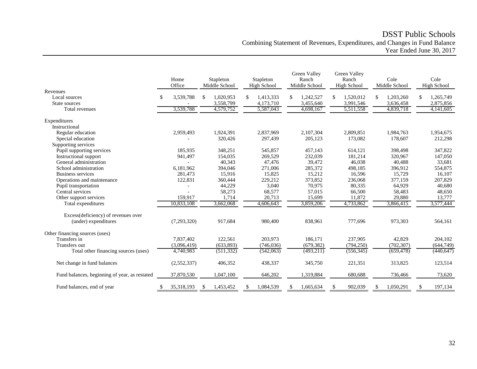# DSST Public Schools Combining Statement of Revenues, Expenditures, and Changes in Fund Balance Year Ended June 30, 2017

|                                               |     | Home<br>Office | Stapleton<br>Middle School |     | Stapleton<br><b>High School</b> | <b>Green Valley</b><br>Ranch<br>Middle School | <b>Green Valley</b><br>Ranch<br>High School | Cole<br>Middle School |    | Cole<br><b>High School</b> |
|-----------------------------------------------|-----|----------------|----------------------------|-----|---------------------------------|-----------------------------------------------|---------------------------------------------|-----------------------|----|----------------------------|
| Revenues<br>Local sources                     | \$. | 3,539,788      | \$<br>1,020,953            | \$. | 1,413,333                       | \$<br>1,242,527                               | \$<br>1,520,012                             | \$<br>1,203,260       | \$ | 1,265,749                  |
| State sources                                 |     |                | 3,558,799                  |     | 4,173,710                       | 3,455,640                                     | 3,991,546                                   | 3,636,458             |    | 2,875,856                  |
| Total revenues                                |     | 3,539,788      | 4,579,752                  |     | 5,587,043                       | 4,698,167                                     | 5,511,558                                   | 4,839,718             |    | 4,141,605                  |
|                                               |     |                |                            |     |                                 |                                               |                                             |                       |    |                            |
| Expenditures                                  |     |                |                            |     |                                 |                                               |                                             |                       |    |                            |
| Instructional                                 |     |                |                            |     |                                 |                                               |                                             |                       |    |                            |
| Regular education                             |     | 2,959,493      | 1,924,391                  |     | 2,837,969                       | 2,107,304                                     | 2,809,851                                   | 1,984,763             |    | 1,954,675                  |
| Special education                             |     |                | 320,426                    |     | 297,439                         | 205,123                                       | 173,082                                     | 178,607               |    | 212,298                    |
| Supporting services                           |     |                |                            |     |                                 |                                               |                                             |                       |    |                            |
| Pupil supporting services                     |     | 185,935        | 348,251                    |     | 545,857                         | 457,143                                       | 614,121                                     | 398,498               |    | 347,822                    |
| <b>Instructional support</b>                  |     | 941,497        | 154,035                    |     | 269,529                         | 232,039                                       | 181,214                                     | 320,967               |    | 147,050                    |
| General administration                        |     |                | 40,343                     |     | 47,476                          | 39,472                                        | 46,038                                      | 40,488                |    | 33,681                     |
| School administration                         |     | 6,181,962      | 394,046                    |     | 271,006                         | 285,372                                       | 498,185                                     | 396,912               |    | 554,875                    |
| <b>Business services</b>                      |     | 281,473        | 15,916                     |     | 15,825                          | 15,212                                        | 16,596                                      | 15,729                |    | 16,107                     |
| Operations and maintenance                    |     | 122,831        | 360,444                    |     | 229,212                         | 373,852                                       | 236,068                                     | 377,159               |    | 207,829                    |
| Pupil transportation                          |     |                | 44,229                     |     | 3,040                           | 70,975                                        | 80,335                                      | 64,929                |    | 40,680                     |
| Central services                              |     |                | 58,273                     |     | 68,577                          | 57,015                                        | 66,500                                      | 58,483                |    | 48,650                     |
| Other support services                        |     | 159,917        | 1,714                      |     | 20,713                          | 15,699                                        | 11,872                                      | 29,880                |    | 13,777                     |
| Total expenditures                            |     | 10,833,108     | 3,662,068                  |     | 4,606,643                       | 3,859,206                                     | 4,733,862                                   | 3,866,415             |    | 3,577,444                  |
| Excess(deficiency) of revenues over           |     |                |                            |     |                                 |                                               |                                             |                       |    |                            |
| (under) expenditures                          |     | (7,293,320)    | 917,684                    |     | 980,400                         | 838,961                                       | 777,696                                     | 973,303               |    | 564,161                    |
| Other financing sources (uses)                |     |                |                            |     |                                 |                                               |                                             |                       |    |                            |
| Transfers in                                  |     | 7.837.402      | 122,561                    |     | 203.973                         | 186.171                                       | 237.905                                     | 42,829                |    | 204.102                    |
| Transfers out                                 |     | (3,096,419)    | (633,893)                  |     | (746, 036)                      | (679, 382)                                    | (794, 250)                                  | (702, 307)            |    | (644,749)                  |
| Total other financing sources (uses)          |     | 4,740,983      | (511, 332)                 |     | (542,063)                       | (493,211)                                     | (556, 345)                                  | (659, 478)            |    | (440, 647)                 |
| Net change in fund balances                   |     | (2,552,337)    | 406,352                    |     | 438,337                         | 345,750                                       | 221,351                                     | 313,825               |    | 123,514                    |
| Fund balances, beginning of year, as restated |     | 37,870,530     | 1,047,100                  |     | 646,202                         | 1,319,884                                     | 680,688                                     | 736,466               |    | 73,620                     |
| Fund balances, end of year                    | \$  | 35,318,193     | 1,453,452                  |     | 1,084,539                       | \$<br>1,665,634                               | \$<br>902,039                               | \$<br>1,050,291       | S  | 197,134                    |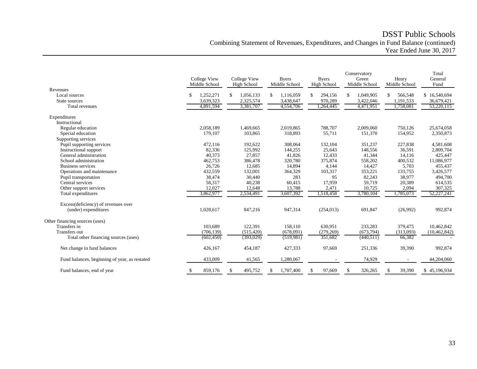# DSST Public Schools Combining Statement of Revenues, Expenditures, and Changes in Fund Balance (continued) Year Ended June 30, 2017

|                                               |    | College View<br>Middle School |               | <b>College View</b><br>High School | <b>Byers</b><br>Middle School | <b>Byers</b><br><b>High School</b> | Conservatory<br>Green<br>Middle School |            | Henry<br>Middle School |           | Total<br>General<br>Fund |
|-----------------------------------------------|----|-------------------------------|---------------|------------------------------------|-------------------------------|------------------------------------|----------------------------------------|------------|------------------------|-----------|--------------------------|
| Revenues                                      |    |                               |               |                                    |                               |                                    |                                        |            |                        |           |                          |
| Local sources                                 | £. | 1,252,271                     | \$            | 1,056,133                          | \$<br>1,116,059               | 294,156                            | \$                                     | 1,049,905  |                        | 566,548   | \$16,540,694             |
| State sources                                 |    | 3,639,323                     |               | 2,325,574                          | 3,438,647                     | 970,289                            |                                        | 3,422,046  |                        | 1,191,533 | 36,679,421               |
| Total revenues                                |    | 4,891,594                     |               | 3,381,707                          | 4,554,706                     | 1,264,445                          |                                        | 4,471,951  |                        | 1,758,081 | 53,220,115               |
| Expenditures                                  |    |                               |               |                                    |                               |                                    |                                        |            |                        |           |                          |
| Instructional                                 |    |                               |               |                                    |                               |                                    |                                        |            |                        |           |                          |
| Regular education                             |    | 2,058,189                     |               | 1,469,665                          | 2,019,865                     | 788,707                            |                                        | 2,009,060  |                        | 750,126   | 25,674,058               |
| Special education                             |    | 179,107                       |               | 103,865                            | 318,893                       | 55,711                             |                                        | 151,370    |                        | 154,952   | 2,350,873                |
| Supporting services                           |    |                               |               |                                    |                               |                                    |                                        |            |                        |           |                          |
| Pupil supporting services                     |    | 472,116                       |               | 192,622                            | 308,064                       | 132,104                            |                                        | 351,237    |                        | 227,838   | 4,581,608                |
| Instructional support                         |    | 82,336                        |               | 125,992                            | 144,255                       | 25,643                             |                                        | 148,556    |                        | 36,591    | 2,809,704                |
| General administration                        |    | 40,373                        |               | 27,857                             | 41,826                        | 12,433                             |                                        | 41,344     |                        | 14,116    | 425,447                  |
| School administration                         |    | 462,753                       |               | 386,478                            | 320,780                       | 375,874                            |                                        | 558,202    |                        | 400,532   | 11,086,977               |
| Business services                             |    | 26,726                        |               | 12,685                             | 14,894                        | 4,144                              |                                        | 14,427     |                        | 5,703     | 455,437                  |
| Operations and maintenance                    |    | 432,559                       |               | 132,001                            | 364,329                       | 103,317                            |                                        | 353,221    |                        | 133,755   | 3,426,577                |
| Pupil transportation                          |    | 38,474                        |               | 30,440                             | 283                           | 95                                 |                                        | 82,243     |                        | 38,977    | 494,700                  |
| Central services                              |    | 58,317                        |               | 40,238                             | 60,415                        | 17,959                             |                                        | 59,719     |                        | 20,389    | 614,535                  |
| Other support services                        |    | 12,027                        |               | 12,648                             | 13,788                        | 2,471                              |                                        | 10,725     |                        | 2,094     | 307,325                  |
| Total expenditures                            |    | 3,862,977                     |               | 2,534,491                          | 3,607,392                     | 1,518,458                          |                                        | 3,780,104  |                        | 1,785,073 | 52,227,241               |
| Excess(deficiency) of revenues over           |    |                               |               |                                    |                               |                                    |                                        |            |                        |           |                          |
| (under) expenditures                          |    | 1,028,617                     |               | 847,216                            | 947,314                       | (254, 013)                         |                                        | 691,847    |                        | (26,992)  | 992,874                  |
| Other financing sources (uses)                |    |                               |               |                                    |                               |                                    |                                        |            |                        |           |                          |
| Transfers in                                  |    | 103,689                       |               | 122,391                            | 158,110                       | 630,951                            |                                        | 233,283    |                        | 379,475   | 10,462,842               |
| Transfers out                                 |    | (706, 139)                    |               | (515, 420)                         | (678,091)                     | (279, 269)                         |                                        | (673, 794) |                        | (313,093) | (10, 462, 842)           |
| Total other financing sources (uses)          |    | (602, 450)                    |               | (393,029)                          | (519,981)                     | 351,682                            |                                        | (440, 511) |                        | 66,382    |                          |
| Net change in fund balances                   |    | 426,167                       |               | 454,187                            | 427,333                       | 97,669                             |                                        | 251,336    |                        | 39,390    | 992,874                  |
| Fund balances, beginning of year, as restated |    | 433,009                       |               | 41,565                             | 1,280,067                     |                                    |                                        | 74,929     |                        |           | 44,204,060               |
| Fund balances, end of year                    | \$ | 859,176                       | <sup>\$</sup> | 495,752                            | \$<br>1,707,400               | 97,669                             | \$                                     | 326,265    | -S                     | 39,390    | \$45,196,934             |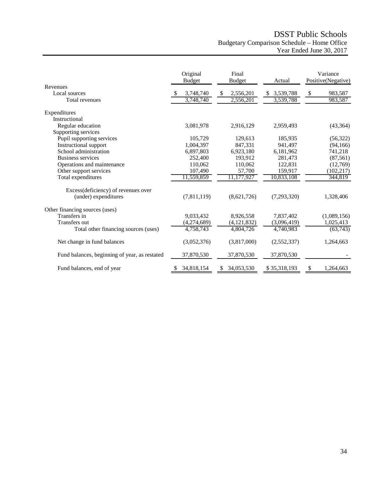# DSST Public Schools Budgetary Comparison Schedule – Home Office Year Ended June 30, 2017

|                                                | Original<br><b>Budget</b> | Final<br><b>Budget</b> | Actual                   | Variance<br>Positive(Negative) |  |  |
|------------------------------------------------|---------------------------|------------------------|--------------------------|--------------------------------|--|--|
| Revenues                                       |                           |                        |                          |                                |  |  |
| Local sources                                  | 3,748,740<br>\$           | 2,556,201<br>\$.       | 3,539,788<br>\$.         | 983,587<br>\$                  |  |  |
| Total revenues                                 | 3,748,740                 | 2,556,201              | 3,539,788                | 983,587                        |  |  |
| Expenditures                                   |                           |                        |                          |                                |  |  |
| Instructional                                  |                           |                        |                          |                                |  |  |
| Regular education                              | 3,081,978                 | 2,916,129              | 2,959,493                | (43, 364)                      |  |  |
| Supporting services                            |                           |                        |                          |                                |  |  |
| Pupil supporting services                      | 105,729                   | 129,613                | 185,935                  | (56,322)                       |  |  |
| Instructional support                          | 1.004.397                 | 847,331                | 941.497                  | (94, 166)                      |  |  |
| School administration                          | 6,897,803                 | 6,923,180              | 6,181,962                | 741,218                        |  |  |
| <b>Business services</b>                       | 252,400                   | 193,912                | 281,473                  | (87, 561)                      |  |  |
| Operations and maintenance                     | 110,062                   | 110,062                | 122,831                  | (12,769)                       |  |  |
| Other support services                         | 107,490                   | 57,700                 | 159,917                  | (102, 217)                     |  |  |
| Total expenditures                             | 11,559,859                | 11,177,927             | 10,833,108               | 344,819                        |  |  |
| Excess(deficiency) of revenues over            |                           |                        |                          |                                |  |  |
| (under) expenditures                           | (7,811,119)               | (8,621,726)            | (7,293,320)              | 1,328,406                      |  |  |
|                                                |                           |                        |                          |                                |  |  |
| Other financing sources (uses)<br>Transfers in | 9,033,432                 | 8,926,558              | 7,837,402                | (1,089,156)                    |  |  |
| Transfers out                                  |                           |                        |                          |                                |  |  |
|                                                | (4,274,689)<br>4,758,743  | (4,121,832)            | (3,096,419)<br>4,740,983 | 1,025,413                      |  |  |
| Total other financing sources (uses)           |                           | 4,804,726              |                          | (63, 743)                      |  |  |
| Net change in fund balances                    | (3,052,376)               | (3,817,000)            | (2,552,337)              | 1,264,663                      |  |  |
| Fund balances, beginning of year, as restated  | 37,870,530                | 37,870,530             | 37,870,530               |                                |  |  |
| Fund balances, end of year                     | 34,818,154                | 34,053,530<br>S        | \$35,318,193             | 1,264,663<br>\$                |  |  |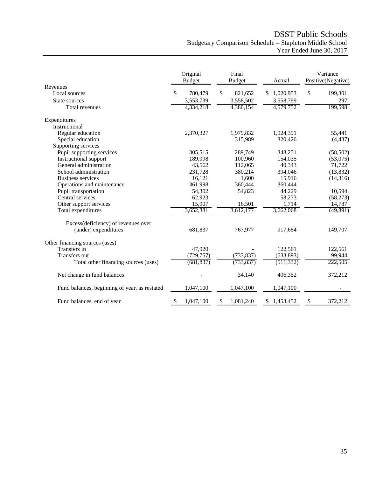DSST Public Schools Budgetary Comparison Schedule – Stapleton Middle School Year Ended June 30, 2017

|                                               | Original<br><b>Budget</b> | Final<br><b>Budget</b> | Actual          | Variance<br>Positive(Negative) |
|-----------------------------------------------|---------------------------|------------------------|-----------------|--------------------------------|
| Revenues                                      |                           |                        |                 |                                |
| Local sources                                 | \$<br>780,479             | \$<br>821,652          | \$<br>1,020,953 | \$<br>199,301                  |
| State sources                                 | 3,553,739                 | 3,558,502              | 3,558,799       | 297                            |
| Total revenues                                | 4,334,218                 | 4,380,154              | 4,579,752       | 199,598                        |
| Expenditures                                  |                           |                        |                 |                                |
| Instructional                                 |                           |                        |                 |                                |
| Regular education                             | 2,370,327                 | 1,979,832              | 1,924,391       | 55,441                         |
| Special education                             |                           | 315,989                | 320,426         | (4, 437)                       |
| Supporting services                           |                           |                        |                 |                                |
| Pupil supporting services                     | 305,515                   | 289,749                | 348,251         | (58, 502)                      |
| Instructional support                         | 189,998                   | 100,960                | 154,035         | (53,075)                       |
| General administration                        | 43,562                    | 112,065                | 40,343          | 71,722                         |
| School administration                         | 231,728                   | 380,214                | 394,046         | (13, 832)                      |
| <b>Business services</b>                      | 16,121                    | 1,600                  | 15,916          | (14,316)                       |
| Operations and maintenance                    | 361,998                   | 360,444                | 360,444         |                                |
| Pupil transportation                          | 54,302                    | 54,823                 | 44,229          | 10,594                         |
| Central services                              | 62,923                    |                        | 58,273          | (58,273)                       |
| Other support services                        | 15,907                    | 16,501                 | 1,714           | 14,787                         |
| Total expenditures                            | 3,652,381                 | 3,612,177              | 3,662,068       | (49, 891)                      |
| Excess(deficiency) of revenues over           |                           |                        |                 |                                |
| (under) expenditures                          | 681,837                   | 767,977                | 917,684         | 149,707                        |
| Other financing sources (uses)                |                           |                        |                 |                                |
| Transfers in                                  | 47,920                    |                        | 122,561         | 122,561                        |
| Transfers out                                 | (729, 757)                | (733, 837)             | (633, 893)      | 99,944                         |
| Total other financing sources (uses)          | (681, 837)                | (733, 837)             | (511, 332)      | 222,505                        |
| Net change in fund balances                   |                           | 34,140                 | 406,352         | 372,212                        |
| Fund balances, beginning of year, as restated | 1,047,100                 | 1,047,100              | 1,047,100       |                                |
| Fund balances, end of year                    | \$<br>1,047,100           | \$<br>1,081,240        | \$1,453,452     | \$<br>372,212                  |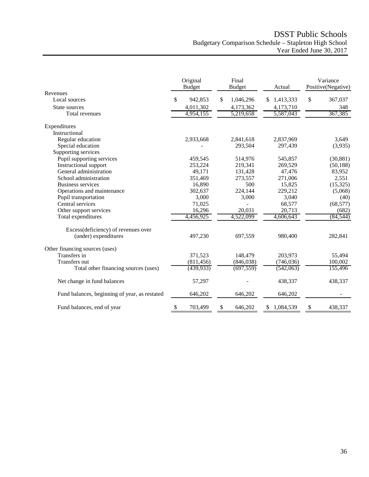# DSST Public Schools Budgetary Comparison Schedule – Stapleton High School Year Ended June 30, 2017

|                                               | Original<br><b>Budget</b> | Final<br><b>Budget</b> | Actual          | Variance<br>Positive(Negative) |
|-----------------------------------------------|---------------------------|------------------------|-----------------|--------------------------------|
| Revenues                                      |                           |                        |                 |                                |
| Local sources                                 | \$<br>942,853             | \$<br>1,046,296        | \$<br>1,413,333 | \$<br>367,037                  |
| State sources                                 | 4,011,302                 | 4,173,362              | 4,173,710       | 348                            |
| Total revenues                                | 4,954,155                 | 5,219,658              | 5,587,043       | 367,385                        |
| Expenditures                                  |                           |                        |                 |                                |
| Instructional                                 |                           |                        |                 |                                |
| Regular education                             | 2,933,668                 | 2,841,618              | 2,837,969       | 3,649                          |
| Special education                             |                           | 293,504                | 297,439         | (3,935)                        |
| Supporting services                           |                           |                        |                 |                                |
| Pupil supporting services                     | 459,545                   | 514,976                | 545,857         | (30, 881)                      |
| Instructional support                         | 253,224                   | 219,341                | 269,529         | (50, 188)                      |
| General administration                        | 49,171                    | 131,428                | 47,476          | 83,952                         |
| School administration                         | 351,469                   | 273,557                | 271,006         | 2,551                          |
| <b>Business services</b>                      | 16,890                    | 500                    | 15,825          | (15, 325)                      |
| Operations and maintenance                    | 302,637                   | 224,144                | 229,212         | (5,068)                        |
| Pupil transportation                          | 3,000                     | 3,000                  | 3,040           | (40)                           |
| Central services                              | 71,025                    |                        | 68,577          | (68, 577)                      |
| Other support services                        | 16,296                    | 20,031                 | 20,713          | (682)                          |
| Total expenditures                            | 4,456,925                 | 4,522,099              | 4,606,643       | (84, 544)                      |
| Excess(deficiency) of revenues over           |                           |                        |                 |                                |
| (under) expenditures                          | 497,230                   | 697,559                | 980,400         | 282,841                        |
| Other financing sources (uses)                |                           |                        |                 |                                |
| Transfers in                                  | 371,523                   | 148,479                | 203,973         | 55,494                         |
| Transfers out                                 | (811, 456)                | (846, 038)             | (746, 036)      | 100,002                        |
| Total other financing sources (uses)          | (439, 933)                | (697, 559)             | (542,063)       | 155,496                        |
| Net change in fund balances                   | 57,297                    |                        | 438,337         | 438,337                        |
| Fund balances, beginning of year, as restated | 646,202                   | 646,202                | 646,202         |                                |
| Fund balances, end of year                    | \$<br>703,499             | \$<br>646,202          | \$1,084,539     | \$<br>438,337                  |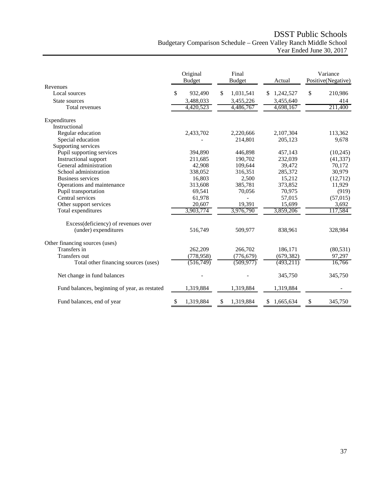DSST Public Schools Budgetary Comparison Schedule – Green Valley Ranch Middle School Year Ended June 30, 2017

|                                               | Original<br><b>Budget</b> | Final<br><b>Budget</b> | Actual           | Variance<br>Positive(Negative) |
|-----------------------------------------------|---------------------------|------------------------|------------------|--------------------------------|
| Revenues                                      |                           |                        |                  |                                |
| Local sources                                 | \$<br>932,490             | 1,031,541<br>\$        | 1,242,527<br>\$. | \$<br>210,986                  |
| State sources                                 | 3,488,033                 | 3,455,226              | 3,455,640        | 414                            |
| Total revenues                                | 4,420,523                 | 4,486,767              | 4,698,167        | 211,400                        |
| Expenditures                                  |                           |                        |                  |                                |
| Instructional                                 |                           |                        |                  |                                |
| Regular education                             | 2,433,702                 | 2,220,666              | 2,107,304        | 113,362                        |
| Special education                             |                           | 214,801                | 205,123          | 9,678                          |
| Supporting services                           |                           |                        |                  |                                |
| Pupil supporting services                     | 394,890                   | 446,898                | 457,143          | (10,245)                       |
| Instructional support                         | 211,685                   | 190,702                | 232,039          | (41, 337)                      |
| General administration                        | 42,908                    | 109,644                | 39,472           | 70,172                         |
| School administration                         | 338,052                   | 316,351                | 285,372          | 30,979                         |
| <b>Business services</b>                      | 16,803                    | 2,500                  | 15,212           | (12,712)                       |
| Operations and maintenance                    | 313,608                   | 385,781                | 373,852          | 11,929                         |
| Pupil transportation                          | 69,541                    | 70,056                 | 70,975           | (919)                          |
| Central services                              | 61,978                    |                        | 57,015           | (57, 015)                      |
| Other support services                        | 20,607                    | 19,391                 | 15,699           | 3,692                          |
| Total expenditures                            | 3,903,774                 | 3,976,790              | 3,859,206        | 117,584                        |
| Excess(deficiency) of revenues over           |                           |                        |                  |                                |
| (under) expenditures                          | 516,749                   | 509,977                | 838,961          | 328,984                        |
| Other financing sources (uses)                |                           |                        |                  |                                |
| Transfers in                                  | 262,209                   | 266,702                | 186,171          | (80, 531)                      |
| Transfers out                                 | (778, 958)                | (776, 679)             | (679, 382)       | 97,297                         |
| Total other financing sources (uses)          | (516, 749)                | (509, 977)             | (493,211)        | 16,766                         |
| Net change in fund balances                   |                           |                        | 345,750          | 345,750                        |
| Fund balances, beginning of year, as restated | 1,319,884                 | 1,319,884              | 1,319,884        |                                |
| Fund balances, end of year                    | 1,319,884<br>\$           | 1,319,884<br>\$        | \$<br>1,665,634  | 345,750<br>\$                  |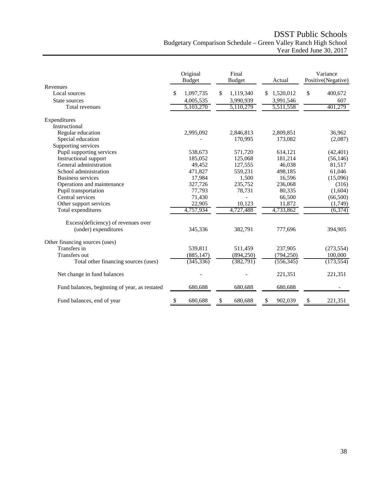DSST Public Schools Budgetary Comparison Schedule – Green Valley Ranch High School Year Ended June 30, 2017

|                                               | Original<br><b>Budget</b> |     | Final<br><b>Budget</b> |    | Actual     | Variance<br>Positive(Negative) |
|-----------------------------------------------|---------------------------|-----|------------------------|----|------------|--------------------------------|
| Revenues                                      |                           |     |                        |    |            |                                |
| Local sources                                 | \$<br>1,097,735           | \$. | 1,119,340              | S. | 1,520,012  | \$<br>400,672                  |
| State sources                                 | 4,005,535                 |     | 3,990,939              |    | 3,991,546  | 607                            |
| Total revenues                                | 5,103,270                 |     | 5,110,279              |    | 5,511,558  | 401,279                        |
| Expenditures                                  |                           |     |                        |    |            |                                |
| Instructional                                 |                           |     |                        |    |            |                                |
| Regular education                             | 2,995,092                 |     | 2,846,813              |    | 2,809,851  | 36,962                         |
| Special education                             |                           |     | 170,995                |    | 173,082    | (2,087)                        |
| Supporting services                           |                           |     |                        |    |            |                                |
| Pupil supporting services                     | 538,673                   |     | 571,720                |    | 614,121    | (42, 401)                      |
| Instructional support                         | 185,052                   |     | 125,068                |    | 181,214    | (56, 146)                      |
| General administration                        | 49,452                    |     | 127,555                |    | 46,038     | 81,517                         |
| School administration                         | 471,827                   |     | 559,231                |    | 498,185    | 61,046                         |
| Business services                             | 17,984                    |     | 1,500                  |    | 16,596     | (15,096)                       |
| Operations and maintenance                    | 327,726                   |     | 235,752                |    | 236,068    | (316)                          |
| Pupil transportation                          | 77,793                    |     | 78,731                 |    | 80,335     | (1,604)                        |
| Central services                              | 71,430                    |     |                        |    | 66,500     | (66,500)                       |
| Other support services                        | 22,905                    |     | 10,123                 |    | 11,872     | (1,749)                        |
| Total expenditures                            | 4,757,934                 |     | 4,727,488              |    | 4,733,862  | (6,374)                        |
| Excess(deficiency) of revenues over           |                           |     |                        |    |            |                                |
| (under) expenditures                          | 345,336                   |     | 382,791                |    | 777,696    | 394,905                        |
| Other financing sources (uses)                |                           |     |                        |    |            |                                |
| Transfers in                                  | 539,811                   |     | 511,459                |    | 237,905    | (273, 554)                     |
| Transfers out                                 | (885, 147)                |     | (894, 250)             |    | (794, 250) | 100,000                        |
| Total other financing sources (uses)          | (345, 336)                |     | (382,791)              |    | (556, 345) | (173, 554)                     |
| Net change in fund balances                   |                           |     |                        |    | 221,351    | 221,351                        |
| Fund balances, beginning of year, as restated | 680,688                   |     | 680,688                |    | 680,688    |                                |
| Fund balances, end of year                    | \$<br>680,688             | S   | 680,688                | \$ | 902,039    | \$<br>221,351                  |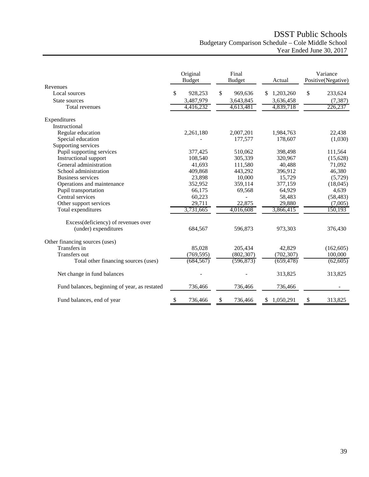# DSST Public Schools Budgetary Comparison Schedule – Cole Middle School Year Ended June 30, 2017

|                                               | Original<br><b>Budget</b> |    | Final<br><b>Budget</b> | Actual          | Variance<br>Positive(Negative) |
|-----------------------------------------------|---------------------------|----|------------------------|-----------------|--------------------------------|
| Revenues                                      |                           |    |                        |                 |                                |
| Local sources                                 | \$<br>928,253             | \$ | 969,636                | \$<br>1,203,260 | \$<br>233,624                  |
| State sources                                 | 3,487,979                 |    | 3,643,845              | 3,636,458       | (7, 387)                       |
| Total revenues                                | 4,416,232                 |    | 4,613,481              | 4,839,718       | 226,237                        |
| Expenditures                                  |                           |    |                        |                 |                                |
| Instructional                                 |                           |    |                        |                 |                                |
| Regular education                             | 2,261,180                 |    | 2,007,201              | 1,984,763       | 22,438                         |
| Special education                             |                           |    | 177,577                | 178,607         | (1,030)                        |
| Supporting services                           |                           |    |                        |                 |                                |
| Pupil supporting services                     | 377,425                   |    | 510,062                | 398,498         | 111,564                        |
| Instructional support                         | 108,540                   |    | 305,339                | 320,967         | (15,628)                       |
| General administration                        | 41,693                    |    | 111,580                | 40,488          | 71,092                         |
| School administration                         | 409,868                   |    | 443,292                | 396,912         | 46,380                         |
| <b>Business services</b>                      | 23,898                    |    | 10,000                 | 15,729          | (5, 729)                       |
| Operations and maintenance                    | 352,952                   |    | 359,114                | 377,159         | (18,045)                       |
| Pupil transportation                          | 66,175                    |    | 69,568                 | 64,929          | 4,639                          |
| Central services                              | 60,223                    |    |                        | 58,483          | (58, 483)                      |
| Other support services                        | 29,711                    |    | 22,875                 | 29,880          | (7,005)                        |
| Total expenditures                            | 3,731,665                 |    | 4,016,608              | 3,866,415       | 150,193                        |
| Excess(deficiency) of revenues over           |                           |    |                        |                 |                                |
| (under) expenditures                          | 684,567                   |    | 596,873                | 973,303         | 376,430                        |
| Other financing sources (uses)                |                           |    |                        |                 |                                |
| Transfers in                                  | 85,028                    |    | 205,434                | 42.829          | (162, 605)                     |
| Transfers out                                 | (769, 595)                |    | (802, 307)             | (702, 307)      | 100,000                        |
| Total other financing sources (uses)          | (684, 567)                |    | (596, 873)             | (659, 478)      | (62, 605)                      |
| Net change in fund balances                   |                           |    |                        | 313,825         | 313,825                        |
| Fund balances, beginning of year, as restated | 736,466                   |    | 736,466                | 736,466         |                                |
| Fund balances, end of year                    | \$<br>736,466             | S  | 736,466                | \$1,050,291     | \$<br>313,825                  |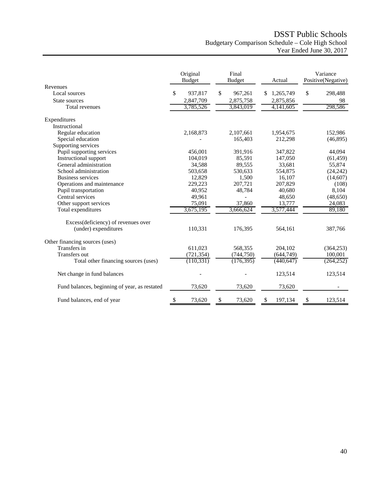# DSST Public Schools Budgetary Comparison Schedule – Cole High School Year Ended June 30, 2017

|                                               | Original<br><b>Budget</b> | Final<br><b>Budget</b> |    | Actual     | Variance<br>Positive(Negative) |
|-----------------------------------------------|---------------------------|------------------------|----|------------|--------------------------------|
| Revenues                                      |                           |                        |    |            |                                |
| Local sources                                 | \$<br>937,817             | \$<br>967,261          | S. | 1,265,749  | \$<br>298,488                  |
| State sources                                 | 2,847,709                 | 2,875,758              |    | 2,875,856  | 98                             |
| Total revenues                                | 3,785,526                 | 3,843,019              |    | 4,141,605  | 298,586                        |
| Expenditures                                  |                           |                        |    |            |                                |
| Instructional                                 |                           |                        |    |            |                                |
| Regular education                             | 2,168,873                 | 2,107,661              |    | 1,954,675  | 152,986                        |
| Special education                             |                           | 165,403                |    | 212,298    | (46,895)                       |
| Supporting services                           |                           |                        |    |            |                                |
| Pupil supporting services                     | 456,001                   | 391,916                |    | 347,822    | 44,094                         |
| Instructional support                         | 104,019                   | 85,591                 |    | 147,050    | (61, 459)                      |
| General administration                        | 34,588                    | 89,555                 |    | 33,681     | 55,874                         |
| School administration                         | 503,658                   | 530,633                |    | 554,875    | (24, 242)                      |
| <b>Business services</b>                      | 12,829                    | 1,500                  |    | 16,107     | (14, 607)                      |
| Operations and maintenance                    | 229,223                   | 207,721                |    | 207,829    | (108)                          |
| Pupil transportation                          | 40,952                    | 48,784                 |    | 40,680     | 8,104                          |
| Central services                              | 49,961                    |                        |    | 48,650     | (48, 650)                      |
| Other support services                        | 75,091                    | 37,860                 |    | 13,777     | 24,083                         |
| Total expenditures                            | 3,675,195                 | 3,666,624              |    | 3,577,444  | 89,180                         |
| Excess(deficiency) of revenues over           |                           |                        |    |            |                                |
| (under) expenditures                          | 110,331                   | 176,395                |    | 564,161    | 387,766                        |
| Other financing sources (uses)                |                           |                        |    |            |                                |
| Transfers in                                  | 611,023                   | 568,355                |    | 204,102    | (364, 253)                     |
| Transfers out                                 | (721, 354)                | (744, 750)             |    | (644, 749) | 100,001                        |
| Total other financing sources (uses)          | (110, 331)                | (176, 395)             |    | (440, 647) | (264, 252)                     |
| Net change in fund balances                   |                           |                        |    | 123,514    | 123,514                        |
| Fund balances, beginning of year, as restated | 73,620                    | 73,620                 |    | 73,620     |                                |
| Fund balances, end of year                    | \$<br>73,620              | \$<br>73,620           | \$ | 197,134    | \$<br>123,514                  |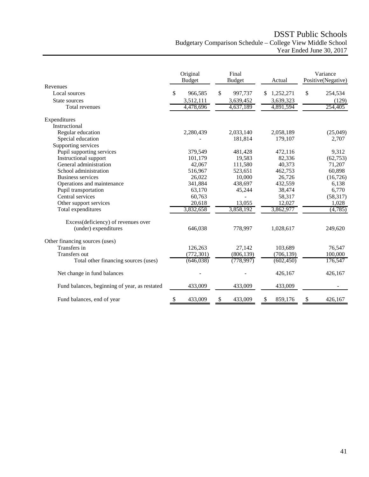DSST Public Schools Budgetary Comparison Schedule – College View Middle School Year Ended June 30, 2017

|                                               | Original<br><b>Budget</b> | Final<br><b>Budget</b> |    | Actual     | Variance<br>Positive(Negative) |
|-----------------------------------------------|---------------------------|------------------------|----|------------|--------------------------------|
| Revenues                                      |                           |                        |    |            |                                |
| Local sources                                 | \$<br>966,585             | \$<br>997,737          | S  | 1,252,271  | \$<br>254,534                  |
| State sources                                 | 3,512,111                 | 3,639,452              |    | 3,639,323  | (129)                          |
| Total revenues                                | 4,478,696                 | 4,637,189              |    | 4,891,594  | 254,405                        |
| Expenditures                                  |                           |                        |    |            |                                |
| Instructional                                 |                           |                        |    |            |                                |
| Regular education                             | 2,280,439                 | 2,033,140              |    | 2,058,189  | (25,049)                       |
| Special education                             |                           | 181,814                |    | 179,107    | 2,707                          |
| Supporting services                           |                           |                        |    |            |                                |
| Pupil supporting services                     | 379,549                   | 481,428                |    | 472,116    | 9,312                          |
| Instructional support                         | 101,179                   | 19,583                 |    | 82,336     | (62, 753)                      |
| General administration                        | 42,067                    | 111,580                |    | 40,373     | 71,207                         |
| School administration                         | 516,967                   | 523,651                |    | 462,753    | 60,898                         |
| Business services                             | 26,022                    | 10,000                 |    | 26,726     | (16,726)                       |
| Operations and maintenance                    | 341,884                   | 438,697                |    | 432,559    | 6,138                          |
| Pupil transportation                          | 63,170                    | 45,244                 |    | 38,474     | 6,770                          |
| Central services                              | 60,763                    |                        |    | 58,317     | (58, 317)                      |
| Other support services                        | 20,618                    | 13,055                 |    | 12,027     | 1,028                          |
| Total expenditures                            | 3,832,658                 | 3,858,192              |    | 3,862,977  | (4,785)                        |
| Excess(deficiency) of revenues over           |                           |                        |    |            |                                |
| (under) expenditures                          | 646,038                   | 778,997                |    | 1,028,617  | 249,620                        |
| Other financing sources (uses)                |                           |                        |    |            |                                |
| Transfers in                                  | 126,263                   | 27,142                 |    | 103,689    | 76,547                         |
| Transfers out                                 | (772, 301)                | (806, 139)             |    | (706, 139) | 100,000                        |
| Total other financing sources (uses)          | (646,038)                 | (778,997)              |    | (602, 450) | 176,547                        |
| Net change in fund balances                   |                           |                        |    | 426,167    | 426,167                        |
| Fund balances, beginning of year, as restated | 433,009                   | 433,009                |    | 433,009    |                                |
| Fund balances, end of year                    | \$<br>433,009             | \$<br>433,009          | \$ | 859,176    | \$<br>426,167                  |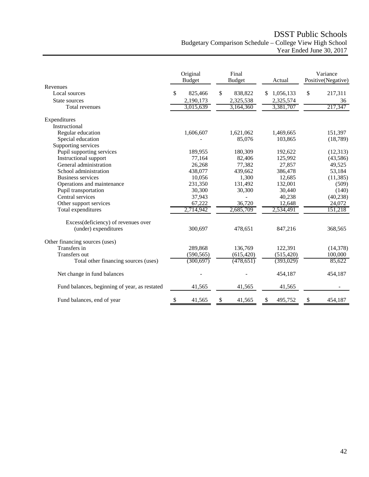DSST Public Schools Budgetary Comparison Schedule – College View High School Year Ended June 30, 2017

|                                               |     | Original<br><b>Budget</b> | Final<br><b>Budget</b> |    | Actual     | Variance<br>Positive(Negative) |
|-----------------------------------------------|-----|---------------------------|------------------------|----|------------|--------------------------------|
| Revenues                                      |     |                           |                        |    |            |                                |
| Local sources                                 | \$. | 825,466                   | \$<br>838,822          | S. | 1,056,133  | \$<br>217,311                  |
| State sources                                 |     | 2,190,173                 | 2,325,538              |    | 2,325,574  | 36                             |
| Total revenues                                |     | 3,015,639                 | 3,164,360              |    | 3,381,707  | 217,347                        |
| Expenditures                                  |     |                           |                        |    |            |                                |
| Instructional                                 |     |                           |                        |    |            |                                |
| Regular education                             |     | 1,606,607                 | 1,621,062              |    | 1,469,665  | 151,397                        |
| Special education                             |     |                           | 85,076                 |    | 103,865    | (18, 789)                      |
| Supporting services                           |     |                           |                        |    |            |                                |
| Pupil supporting services                     |     | 189,955                   | 180,309                |    | 192,622    | (12, 313)                      |
| Instructional support                         |     | 77,164                    | 82,406                 |    | 125,992    | (43,586)                       |
| General administration                        |     | 26,268                    | 77,382                 |    | 27,857     | 49,525                         |
| School administration                         |     | 438,077                   | 439,662                |    | 386,478    | 53,184                         |
| <b>Business services</b>                      |     | 10,056                    | 1,300                  |    | 12,685     | (11, 385)                      |
| Operations and maintenance                    |     | 231,350                   | 131,492                |    | 132,001    | (509)                          |
| Pupil transportation                          |     | 30,300                    | 30,300                 |    | 30,440     | (140)                          |
| Central services                              |     | 37,943                    |                        |    | 40,238     | (40, 238)                      |
| Other support services                        |     | 67,222                    | 36,720                 |    | 12,648     | 24,072                         |
| Total expenditures                            |     | 2,714,942                 | 2,685,709              |    | 2,534,491  | 151,218                        |
| Excess(deficiency) of revenues over           |     |                           |                        |    |            |                                |
| (under) expenditures                          |     | 300,697                   | 478,651                |    | 847,216    | 368,565                        |
| Other financing sources (uses)                |     |                           |                        |    |            |                                |
| Transfers in                                  |     | 289,868                   | 136,769                |    | 122,391    | (14,378)                       |
| Transfers out                                 |     | (590, 565)                | (615, 420)             |    | (515, 420) | 100,000                        |
| Total other financing sources (uses)          |     | (300, 697)                | (478, 651)             |    | (393,029)  | 85,622                         |
| Net change in fund balances                   |     |                           |                        |    | 454,187    | 454,187                        |
| Fund balances, beginning of year, as restated |     | 41,565                    | 41,565                 |    | 41,565     |                                |
| Fund balances, end of year                    | \$  | 41,565                    | \$<br>41,565           | \$ | 495,752    | \$<br>454,187                  |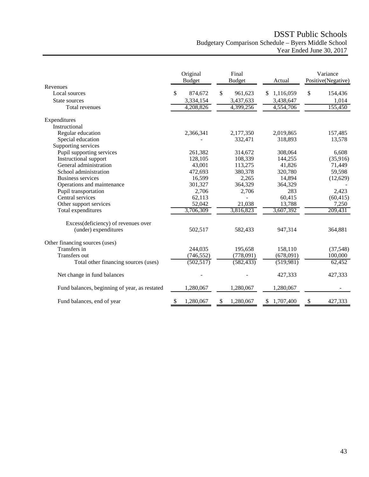DSST Public Schools Budgetary Comparison Schedule – Byers Middle School Year Ended June 30, 2017

|                                               | Original<br><b>Budget</b> | Final<br><b>Budget</b> | Actual          | Variance<br>Positive(Negative) |
|-----------------------------------------------|---------------------------|------------------------|-----------------|--------------------------------|
| Revenues                                      |                           |                        |                 |                                |
| Local sources                                 | \$<br>874,672             | \$<br>961,623          | \$<br>1,116,059 | \$<br>154,436                  |
| State sources                                 | 3,334,154                 | 3,437,633              | 3,438,647       | 1,014                          |
| Total revenues                                | 4,208,826                 | 4,399,256              | 4,554,706       | 155,450                        |
| Expenditures                                  |                           |                        |                 |                                |
| Instructional                                 |                           |                        |                 |                                |
| Regular education                             | 2,366,341                 | 2,177,350              | 2,019,865       | 157,485                        |
| Special education                             |                           | 332,471                | 318,893         | 13,578                         |
| Supporting services                           |                           |                        |                 |                                |
| Pupil supporting services                     | 261,382                   | 314,672                | 308,064         | 6,608                          |
| Instructional support                         | 128,105                   | 108,339                | 144,255         | (35,916)                       |
| General administration                        | 43,001                    | 113,275                | 41,826          | 71,449                         |
| School administration                         | 472,693                   | 380,378                | 320,780         | 59,598                         |
| <b>Business services</b>                      | 16,599                    | 2,265                  | 14,894          | (12, 629)                      |
| Operations and maintenance                    | 301,327                   | 364,329                | 364,329         |                                |
| Pupil transportation                          | 2,706                     | 2,706                  | 283             | 2,423                          |
| Central services                              | 62,113                    |                        | 60,415          | (60, 415)                      |
| Other support services                        | 52,042                    | 21,038                 | 13,788          | 7,250                          |
| Total expenditures                            | 3,706,309                 | 3,816,823              | 3,607,392       | 209,431                        |
| Excess(deficiency) of revenues over           |                           |                        |                 |                                |
| (under) expenditures                          | 502,517                   | 582,433                | 947,314         | 364,881                        |
| Other financing sources (uses)                |                           |                        |                 |                                |
| Transfers in                                  | 244,035                   | 195,658                | 158,110         | (37, 548)                      |
| Transfers out                                 | (746, 552)                | (778,091)              | (678,091)       | 100,000                        |
| Total other financing sources (uses)          | (502, 517)                | (582, 433)             | (519,981)       | 62,452                         |
| Net change in fund balances                   |                           |                        | 427,333         | 427,333                        |
| Fund balances, beginning of year, as restated | 1,280,067                 | 1,280,067              | 1,280,067       |                                |
| Fund balances, end of year                    | \$<br>1,280,067           | \$<br>1,280,067        | \$<br>1,707,400 | \$<br>427,333                  |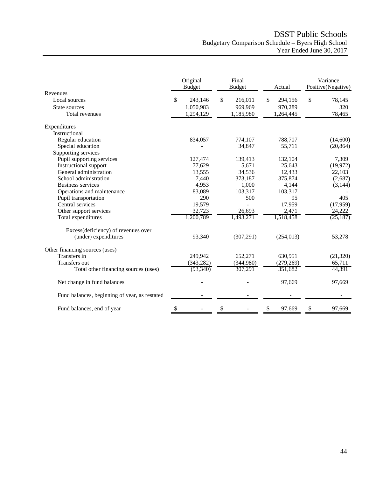# DSST Public Schools Budgetary Comparison Schedule – Byers High School Year Ended June 30, 2017

|                                               | Original<br><b>Budget</b> | Final<br><b>Budget</b> | Actual        | Variance<br>Positive(Negative) |
|-----------------------------------------------|---------------------------|------------------------|---------------|--------------------------------|
| Revenues<br>Local sources                     | \$<br>243,146             | \$<br>216,011          | \$<br>294,156 | \$<br>78,145                   |
| State sources                                 | 1,050,983                 | 969,969                | 970,289       | 320                            |
| Total revenues                                | 1,294,129                 | 1,185,980              | 1,264,445     | 78,465                         |
|                                               |                           |                        |               |                                |
| Expenditures<br>Instructional                 |                           |                        |               |                                |
| Regular education                             | 834,057                   | 774,107                | 788,707       | (14,600)                       |
| Special education                             |                           | 34,847                 | 55,711        | (20, 864)                      |
| Supporting services                           |                           |                        |               |                                |
| Pupil supporting services                     | 127,474                   | 139,413                | 132,104       | 7,309                          |
| Instructional support                         | 77,629                    | 5,671                  | 25,643        | (19, 972)                      |
| General administration                        | 13,555                    | 34,536                 | 12,433        | 22,103                         |
| School administration                         | 7,440                     | 373,187                | 375,874       | (2,687)                        |
| <b>Business services</b>                      | 4,953                     | 1,000                  | 4,144         | (3,144)                        |
| Operations and maintenance                    | 83,089                    | 103,317                | 103,317       |                                |
| Pupil transportation                          | 290                       | 500                    | 95            | 405                            |
| Central services                              | 19,579                    |                        | 17,959        | (17,959)                       |
| Other support services                        | 32,723                    | 26,693                 | 2,471         | 24,222                         |
| Total expenditures                            | 1,200,789                 | 1,493,271              | 1,518,458     | (25, 187)                      |
| Excess(deficiency) of revenues over           |                           |                        |               |                                |
| (under) expenditures                          | 93,340                    | (307, 291)             | (254, 013)    | 53,278                         |
| Other financing sources (uses)                |                           |                        |               |                                |
| Transfers in                                  | 249,942                   | 652,271                | 630,951       | (21, 320)                      |
| Transfers out                                 | (343, 282)                | (344,980)              | (279, 269)    | 65,711                         |
| Total other financing sources (uses)          | (93, 340)                 | 307,291                | 351,682       | 44,391                         |
| Net change in fund balances                   |                           |                        | 97,669        | 97,669                         |
| Fund balances, beginning of year, as restated |                           |                        |               |                                |
| Fund balances, end of year                    |                           |                        | \$<br>97,669  | 97,669                         |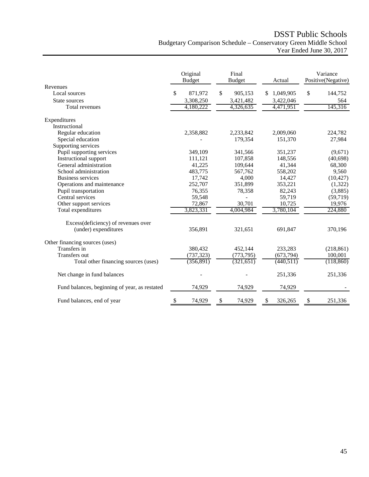DSST Public Schools Budgetary Comparison Schedule – Conservatory Green Middle School Year Ended June 30, 2017

|                                               | Original<br><b>Budget</b> | Final<br><b>Budget</b> |    | Actual     | Variance<br>Positive(Negative) |
|-----------------------------------------------|---------------------------|------------------------|----|------------|--------------------------------|
| Revenues                                      |                           |                        |    |            |                                |
| Local sources                                 | \$<br>871,972             | \$<br>905,153          | S. | 1,049,905  | \$<br>144,752                  |
| State sources                                 | 3,308,250                 | 3,421,482              |    | 3,422,046  | 564                            |
| Total revenues                                | 4,180,222                 | 4,326,635              |    | 4,471,951  | 145,316                        |
| Expenditures                                  |                           |                        |    |            |                                |
| Instructional                                 |                           |                        |    |            |                                |
| Regular education                             | 2,358,882                 | 2,233,842              |    | 2,009,060  | 224,782                        |
| Special education                             |                           | 179,354                |    | 151,370    | 27,984                         |
| Supporting services                           |                           |                        |    |            |                                |
| Pupil supporting services                     | 349,109                   | 341,566                |    | 351,237    | (9,671)                        |
| Instructional support                         | 111,121                   | 107,858                |    | 148,556    | (40, 698)                      |
| General administration                        | 41,225                    | 109,644                |    | 41,344     | 68,300                         |
| School administration                         | 483,775                   | 567,762                |    | 558,202    | 9,560                          |
| <b>Business services</b>                      | 17,742                    | 4,000                  |    | 14,427     | (10, 427)                      |
| Operations and maintenance                    | 252,707                   | 351,899                |    | 353,221    | (1,322)                        |
| Pupil transportation                          | 76,355                    | 78,358                 |    | 82,243     | (3,885)                        |
| Central services                              | 59,548                    |                        |    | 59,719     | (59, 719)                      |
| Other support services                        | 72,867                    | 30,701                 |    | 10,725     | 19,976                         |
| Total expenditures                            | 3,823,331                 | 4,004,984              |    | 3,780,104  | 224,880                        |
| Excess(deficiency) of revenues over           |                           |                        |    |            |                                |
| (under) expenditures                          | 356,891                   | 321,651                |    | 691,847    | 370,196                        |
| Other financing sources (uses)                |                           |                        |    |            |                                |
| Transfers in                                  | 380,432                   | 452,144                |    | 233,283    | (218, 861)                     |
| Transfers out                                 | (737, 323)                | (773, 795)             |    | (673, 794) | 100,001                        |
| Total other financing sources (uses)          | (356, 891)                | (321, 651)             |    | (440,511)  | (118, 860)                     |
| Net change in fund balances                   |                           |                        |    | 251,336    | 251,336                        |
| Fund balances, beginning of year, as restated | 74,929                    | 74,929                 |    | 74,929     |                                |
| Fund balances, end of year                    | \$<br>74,929              | \$<br>74,929           | \$ | 326,265    | \$<br>251,336                  |